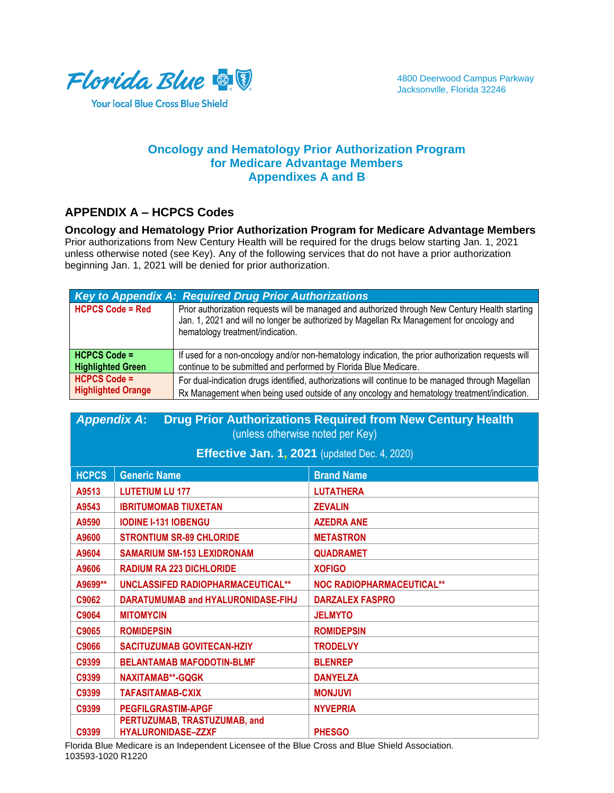

**Your local Blue Cross Blue Shield** 

## **Oncology and Hematology Prior Authorization Program for Medicare Advantage Members Appendixes A and B**

## **APPENDIX A – HCPCS Codes**

**Oncology and Hematology Prior Authorization Program for Medicare Advantage Members** Prior authorizations from New Century Health will be required for the drugs below starting Jan. 1, 2021 unless otherwise noted (see Key). Any of the following services that do not have a prior authorization beginning Jan. 1, 2021 will be denied for prior authorization.

|                           | Key to Appendix A: Required Drug Prior Authorizations                                                                                                                                                                           |  |  |
|---------------------------|---------------------------------------------------------------------------------------------------------------------------------------------------------------------------------------------------------------------------------|--|--|
| <b>HCPCS Code = Red</b>   | Prior authorization requests will be managed and authorized through New Century Health starting<br>Jan. 1, 2021 and will no longer be authorized by Magellan Rx Management for oncology and<br>hematology treatment/indication. |  |  |
| <b>HCPCS Code =</b>       | If used for a non-oncology and/or non-hematology indication, the prior authorization requests will                                                                                                                              |  |  |
| <b>Highlighted Green</b>  | continue to be submitted and performed by Florida Blue Medicare.                                                                                                                                                                |  |  |
| <b>HCPCS Code =</b>       | For dual-indication drugs identified, authorizations will continue to be managed through Magellan                                                                                                                               |  |  |
| <b>Highlighted Orange</b> | Rx Management when being used outside of any oncology and hematology treatment/indication.                                                                                                                                      |  |  |

| <b>Drug Prior Authorizations Required from New Century Health</b><br><b>Appendix A:</b><br>(unless otherwise noted per Key) |                                                      |                                  |
|-----------------------------------------------------------------------------------------------------------------------------|------------------------------------------------------|----------------------------------|
|                                                                                                                             | <b>Effective Jan. 1, 2021</b> (updated Dec. 4, 2020) |                                  |
| <b>HCPCS</b>                                                                                                                | <b>Generic Name</b>                                  | <b>Brand Name</b>                |
| A9513                                                                                                                       | <b>LUTETIUM LU 177</b>                               | <b>LUTATHERA</b>                 |
| A9543                                                                                                                       | <b>IBRITUMOMAB TIUXETAN</b>                          | <b>ZEVALIN</b>                   |
| A9590                                                                                                                       | <b>IODINE I-131 IOBENGU</b>                          | <b>AZEDRA ANE</b>                |
| A9600                                                                                                                       | <b>STRONTIUM SR-89 CHLORIDE</b>                      | <b>METASTRON</b>                 |
| A9604                                                                                                                       | <b>SAMARIUM SM-153 LEXIDRONAM</b>                    | <b>QUADRAMET</b>                 |
| A9606                                                                                                                       | <b>RADIUM RA 223 DICHLORIDE</b>                      | <b>XOFIGO</b>                    |
| A9699**                                                                                                                     | UNCLASSIFED RADIOPHARMACEUTICAL**                    | <b>NOC RADIOPHARMACEUTICAL**</b> |
| C9062                                                                                                                       | DARATUMUMAB and HYALURONIDASE-FIHJ                   | <b>DARZALEX FASPRO</b>           |
| C9064                                                                                                                       | <b>MITOMYCIN</b>                                     | <b>JELMYTO</b>                   |
| C9065                                                                                                                       | <b>ROMIDEPSIN</b>                                    | <b>ROMIDEPSIN</b>                |
| C9066                                                                                                                       | <b>SACITUZUMAB GOVITECAN-HZIY</b>                    | <b>TRODELVY</b>                  |
| C9399                                                                                                                       | <b>BELANTAMAB MAFODOTIN-BLMF</b>                     | <b>BLENREP</b>                   |

**C9399 NAXITAMAB\*\*-GQGK DANYELZA C9399 TAFASITAMAB-CXIX MONJUVI C9399 PEGFILGRASTIM-APGF NYVEPRIA C9399 PERTUZUMAB, TRASTUZUMAB, and HYALURONIDASE–ZZXF PHESGO**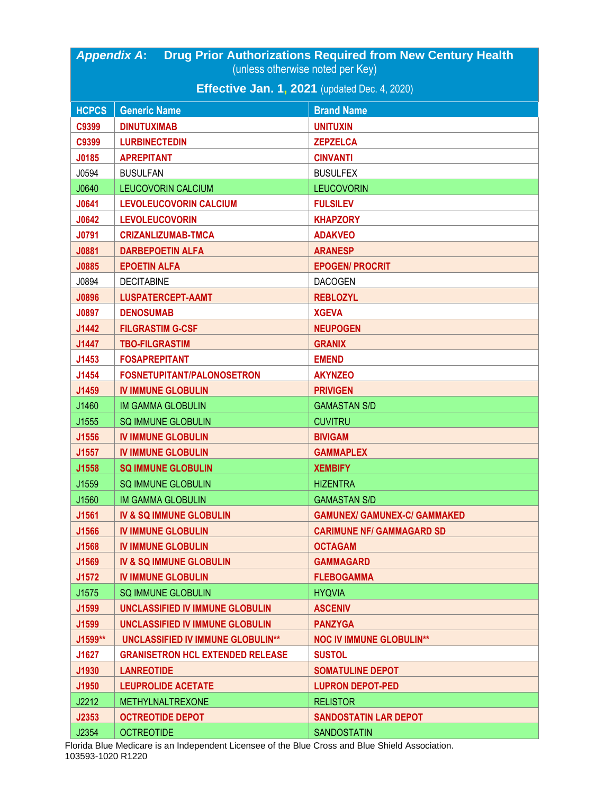| <b>Drug Prior Authorizations Required from New Century Health</b><br><b>Appendix A:</b> |                                                      |                                     |  |
|-----------------------------------------------------------------------------------------|------------------------------------------------------|-------------------------------------|--|
| (unless otherwise noted per Key)                                                        |                                                      |                                     |  |
|                                                                                         | <b>Effective Jan. 1, 2021</b> (updated Dec. 4, 2020) |                                     |  |
| <b>HCPCS</b>                                                                            | <b>Generic Name</b>                                  | <b>Brand Name</b>                   |  |
| C9399                                                                                   | <b>DINUTUXIMAB</b>                                   | <b>UNITUXIN</b>                     |  |
| C9399                                                                                   | <b>LURBINECTEDIN</b>                                 | <b>ZEPZELCA</b>                     |  |
| J0185                                                                                   | <b>APREPITANT</b>                                    | <b>CINVANTI</b>                     |  |
| J0594                                                                                   | <b>BUSULFAN</b>                                      | <b>BUSULFEX</b>                     |  |
| J0640                                                                                   | LEUCOVORIN CALCIUM                                   | <b>LEUCOVORIN</b>                   |  |
| J0641                                                                                   | <b>LEVOLEUCOVORIN CALCIUM</b>                        | <b>FULSILEV</b>                     |  |
| J0642                                                                                   | <b>LEVOLEUCOVORIN</b>                                | <b>KHAPZORY</b>                     |  |
| J0791                                                                                   | <b>CRIZANLIZUMAB-TMCA</b>                            | <b>ADAKVEO</b>                      |  |
| <b>J0881</b>                                                                            | <b>DARBEPOETIN ALFA</b>                              | <b>ARANESP</b>                      |  |
| <b>J0885</b>                                                                            | <b>EPOETIN ALFA</b>                                  | <b>EPOGEN/ PROCRIT</b>              |  |
| J0894                                                                                   | <b>DECITABINE</b>                                    | <b>DACOGEN</b>                      |  |
| <b>J0896</b>                                                                            | <b>LUSPATERCEPT-AAMT</b>                             | <b>REBLOZYL</b>                     |  |
| <b>J0897</b>                                                                            | <b>DENOSUMAB</b>                                     | <b>XGEVA</b>                        |  |
| J1442                                                                                   | <b>FILGRASTIM G-CSF</b>                              | <b>NEUPOGEN</b>                     |  |
| J1447                                                                                   | <b>TBO-FILGRASTIM</b>                                | <b>GRANIX</b>                       |  |
| J1453                                                                                   | <b>FOSAPREPITANT</b>                                 | <b>EMEND</b>                        |  |
| J1454                                                                                   | <b>FOSNETUPITANT/PALONOSETRON</b>                    | <b>AKYNZEO</b>                      |  |
| J1459                                                                                   | <b>IV IMMUNE GLOBULIN</b>                            | <b>PRIVIGEN</b>                     |  |
| J1460                                                                                   | <b>IM GAMMA GLOBULIN</b>                             | <b>GAMASTAN S/D</b>                 |  |
| J1555                                                                                   | <b>SQ IMMUNE GLOBULIN</b>                            | <b>CUVITRU</b>                      |  |
| J1556                                                                                   | <b>IV IMMUNE GLOBULIN</b>                            | <b>BIVIGAM</b>                      |  |
| J1557                                                                                   | <b>IV IMMUNE GLOBULIN</b>                            | <b>GAMMAPLEX</b>                    |  |
| J1558                                                                                   | <b>SQ IMMUNE GLOBULIN</b>                            | <b>XEMBIFY</b>                      |  |
| J1559                                                                                   | <b>SQ IMMUNE GLOBULIN</b>                            | <b>HIZENTRA</b>                     |  |
| J1560                                                                                   | <b>IM GAMMA GLOBULIN</b>                             | <b>GAMASTAN S/D</b>                 |  |
| J1561                                                                                   | <b>IV &amp; SQ IMMUNE GLOBULIN</b>                   | <b>GAMUNEX/ GAMUNEX-C/ GAMMAKED</b> |  |
| J1566                                                                                   | <b>IV IMMUNE GLOBULIN</b>                            | <b>CARIMUNE NF/ GAMMAGARD SD</b>    |  |
| J1568                                                                                   | <b>IV IMMUNE GLOBULIN</b>                            | <b>OCTAGAM</b>                      |  |
| J1569                                                                                   | <b>IV &amp; SQ IMMUNE GLOBULIN</b>                   | <b>GAMMAGARD</b>                    |  |
| J1572                                                                                   | <b>IV IMMUNE GLOBULIN</b>                            | <b>FLEBOGAMMA</b>                   |  |
| J1575                                                                                   | <b>SQ IMMUNE GLOBULIN</b>                            | <b>HYQVIA</b>                       |  |
| J1599                                                                                   | <b>UNCLASSIFIED IV IMMUNE GLOBULIN</b>               | <b>ASCENIV</b>                      |  |
| J1599                                                                                   | <b>UNCLASSIFIED IV IMMUNE GLOBULIN</b>               | <b>PANZYGA</b>                      |  |
| J1599**                                                                                 | <b>UNCLASSIFIED IV IMMUNE GLOBULIN**</b>             | <b>NOC IV IMMUNE GLOBULIN**</b>     |  |
| J1627                                                                                   | <b>GRANISETRON HCL EXTENDED RELEASE</b>              | <b>SUSTOL</b>                       |  |
| J1930                                                                                   | <b>LANREOTIDE</b>                                    | <b>SOMATULINE DEPOT</b>             |  |
| J1950                                                                                   | <b>LEUPROLIDE ACETATE</b>                            | <b>LUPRON DEPOT-PED</b>             |  |
| J2212                                                                                   | <b>METHYLNALTREXONE</b>                              | <b>RELISTOR</b>                     |  |
| J2353                                                                                   | <b>OCTREOTIDE DEPOT</b>                              | <b>SANDOSTATIN LAR DEPOT</b>        |  |
| J2354                                                                                   | <b>OCTREOTIDE</b>                                    | SANDOSTATIN                         |  |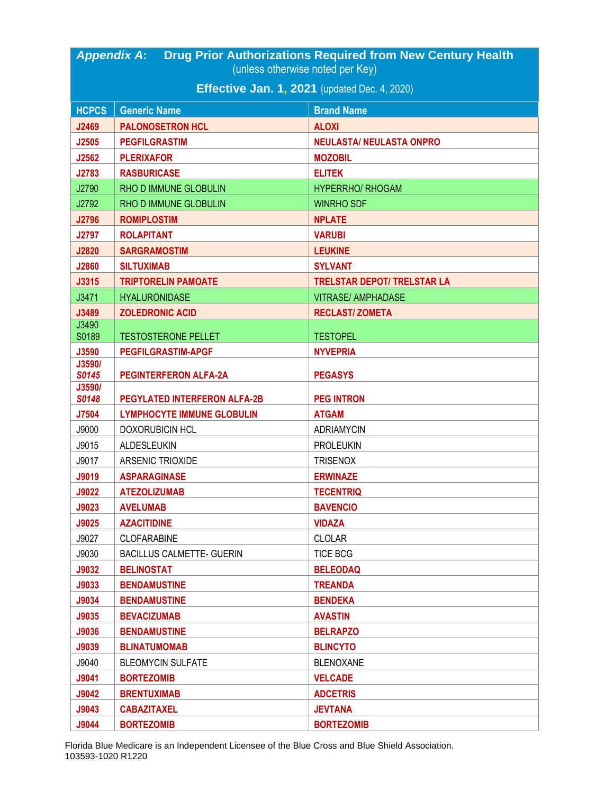| <b>Effective Jan. 1, 2021</b> (updated Dec. 4, 2020)<br><b>HCPCS</b><br><b>Generic Name</b><br><b>Brand Name</b><br><b>ALOXI</b><br>J2469<br><b>PALONOSETRON HCL</b><br><b>PEGFILGRASTIM</b><br><b>NEULASTA/ NEULASTA ONPRO</b><br>J2505<br><b>PLERIXAFOR</b><br><b>MOZOBIL</b><br>J2562<br>J2783<br><b>RASBURICASE</b><br><b>ELITEK</b><br>J2790<br>RHO D IMMUNE GLOBULIN<br><b>HYPERRHO/ RHOGAM</b><br>J2792<br>RHO D IMMUNE GLOBULIN<br><b>WINRHO SDF</b><br>J2796<br><b>ROMIPLOSTIM</b><br><b>NPLATE</b><br><b>ROLAPITANT</b><br><b>J2797</b><br><b>VARUBI</b><br>J2820<br><b>SARGRAMOSTIM</b><br><b>LEUKINE</b><br>J2860<br><b>SILTUXIMAB</b><br><b>SYLVANT</b><br>J3315<br><b>TRIPTORELIN PAMOATE</b><br><b>TRELSTAR DEPOT/ TRELSTAR LA</b><br>J3471<br><b>HYALURONIDASE</b><br><b>VITRASE/ AMPHADASE</b><br>J3489<br><b>ZOLEDRONIC ACID</b><br><b>RECLAST/ZOMETA</b><br>J3490<br>S0189<br><b>TESTOSTERONE PELLET</b><br><b>TESTOPEL</b><br>J3590<br><b>PEGFILGRASTIM-APGF</b><br><b>NYVEPRIA</b><br>J3590/<br><b>S0145</b><br><b>PEGINTERFERON ALFA-2A</b><br><b>PEGASYS</b><br>J3590/<br><b>PEGYLATED INTERFERON ALFA-2B</b><br>S0148<br><b>PEG INTRON</b><br>J7504<br><b>LYMPHOCYTE IMMUNE GLOBULIN</b><br><b>ATGAM</b><br>J9000<br><b>DOXORUBICIN HCL</b><br><b>ADRIAMYCIN</b><br>J9015<br>ALDESLEUKIN<br><b>PROLEUKIN</b><br>J9017<br>ARSENIC TRIOXIDE<br><b>TRISENOX</b><br><b>ERWINAZE</b><br>J9019<br><b>ASPARAGINASE</b><br><b>J9022</b><br><b>ATEZOLIZUMAB</b><br><b>TECENTRIQ</b><br>J9023<br><b>AVELUMAB</b><br><b>BAVENCIO</b><br><b>VIDAZA</b><br>J9025<br><b>AZACITIDINE</b><br>J9027<br><b>CLOFARABINE</b><br><b>CLOLAR</b><br>J9030<br><b>BACILLUS CALMETTE- GUERIN</b><br><b>TICE BCG</b><br>J9032<br><b>BELINOSTAT</b><br><b>BELEODAQ</b><br>J9033<br><b>BENDAMUSTINE</b><br><b>TREANDA</b><br>J9034<br><b>BENDAMUSTINE</b><br><b>BENDEKA</b><br>J9035<br><b>BEVACIZUMAB</b><br><b>AVASTIN</b><br>J9036<br><b>BENDAMUSTINE</b><br><b>BELRAPZO</b><br>J9039<br><b>BLINCYTO</b><br><b>BLINATUMOMAB</b><br><b>BLEOMYCIN SULFATE</b> | <b>Drug Prior Authorizations Required from New Century Health</b><br><b>Appendix A:</b> |  |                  |  |
|-----------------------------------------------------------------------------------------------------------------------------------------------------------------------------------------------------------------------------------------------------------------------------------------------------------------------------------------------------------------------------------------------------------------------------------------------------------------------------------------------------------------------------------------------------------------------------------------------------------------------------------------------------------------------------------------------------------------------------------------------------------------------------------------------------------------------------------------------------------------------------------------------------------------------------------------------------------------------------------------------------------------------------------------------------------------------------------------------------------------------------------------------------------------------------------------------------------------------------------------------------------------------------------------------------------------------------------------------------------------------------------------------------------------------------------------------------------------------------------------------------------------------------------------------------------------------------------------------------------------------------------------------------------------------------------------------------------------------------------------------------------------------------------------------------------------------------------------------------------------------------------------------------------------------------------------------------------------------------------------------------------------------------------------------------------|-----------------------------------------------------------------------------------------|--|------------------|--|
|                                                                                                                                                                                                                                                                                                                                                                                                                                                                                                                                                                                                                                                                                                                                                                                                                                                                                                                                                                                                                                                                                                                                                                                                                                                                                                                                                                                                                                                                                                                                                                                                                                                                                                                                                                                                                                                                                                                                                                                                                                                           | (unless otherwise noted per Key)                                                        |  |                  |  |
|                                                                                                                                                                                                                                                                                                                                                                                                                                                                                                                                                                                                                                                                                                                                                                                                                                                                                                                                                                                                                                                                                                                                                                                                                                                                                                                                                                                                                                                                                                                                                                                                                                                                                                                                                                                                                                                                                                                                                                                                                                                           |                                                                                         |  |                  |  |
|                                                                                                                                                                                                                                                                                                                                                                                                                                                                                                                                                                                                                                                                                                                                                                                                                                                                                                                                                                                                                                                                                                                                                                                                                                                                                                                                                                                                                                                                                                                                                                                                                                                                                                                                                                                                                                                                                                                                                                                                                                                           |                                                                                         |  |                  |  |
|                                                                                                                                                                                                                                                                                                                                                                                                                                                                                                                                                                                                                                                                                                                                                                                                                                                                                                                                                                                                                                                                                                                                                                                                                                                                                                                                                                                                                                                                                                                                                                                                                                                                                                                                                                                                                                                                                                                                                                                                                                                           |                                                                                         |  |                  |  |
|                                                                                                                                                                                                                                                                                                                                                                                                                                                                                                                                                                                                                                                                                                                                                                                                                                                                                                                                                                                                                                                                                                                                                                                                                                                                                                                                                                                                                                                                                                                                                                                                                                                                                                                                                                                                                                                                                                                                                                                                                                                           |                                                                                         |  |                  |  |
|                                                                                                                                                                                                                                                                                                                                                                                                                                                                                                                                                                                                                                                                                                                                                                                                                                                                                                                                                                                                                                                                                                                                                                                                                                                                                                                                                                                                                                                                                                                                                                                                                                                                                                                                                                                                                                                                                                                                                                                                                                                           |                                                                                         |  |                  |  |
|                                                                                                                                                                                                                                                                                                                                                                                                                                                                                                                                                                                                                                                                                                                                                                                                                                                                                                                                                                                                                                                                                                                                                                                                                                                                                                                                                                                                                                                                                                                                                                                                                                                                                                                                                                                                                                                                                                                                                                                                                                                           |                                                                                         |  |                  |  |
|                                                                                                                                                                                                                                                                                                                                                                                                                                                                                                                                                                                                                                                                                                                                                                                                                                                                                                                                                                                                                                                                                                                                                                                                                                                                                                                                                                                                                                                                                                                                                                                                                                                                                                                                                                                                                                                                                                                                                                                                                                                           |                                                                                         |  |                  |  |
|                                                                                                                                                                                                                                                                                                                                                                                                                                                                                                                                                                                                                                                                                                                                                                                                                                                                                                                                                                                                                                                                                                                                                                                                                                                                                                                                                                                                                                                                                                                                                                                                                                                                                                                                                                                                                                                                                                                                                                                                                                                           |                                                                                         |  |                  |  |
|                                                                                                                                                                                                                                                                                                                                                                                                                                                                                                                                                                                                                                                                                                                                                                                                                                                                                                                                                                                                                                                                                                                                                                                                                                                                                                                                                                                                                                                                                                                                                                                                                                                                                                                                                                                                                                                                                                                                                                                                                                                           |                                                                                         |  |                  |  |
|                                                                                                                                                                                                                                                                                                                                                                                                                                                                                                                                                                                                                                                                                                                                                                                                                                                                                                                                                                                                                                                                                                                                                                                                                                                                                                                                                                                                                                                                                                                                                                                                                                                                                                                                                                                                                                                                                                                                                                                                                                                           |                                                                                         |  |                  |  |
|                                                                                                                                                                                                                                                                                                                                                                                                                                                                                                                                                                                                                                                                                                                                                                                                                                                                                                                                                                                                                                                                                                                                                                                                                                                                                                                                                                                                                                                                                                                                                                                                                                                                                                                                                                                                                                                                                                                                                                                                                                                           |                                                                                         |  |                  |  |
|                                                                                                                                                                                                                                                                                                                                                                                                                                                                                                                                                                                                                                                                                                                                                                                                                                                                                                                                                                                                                                                                                                                                                                                                                                                                                                                                                                                                                                                                                                                                                                                                                                                                                                                                                                                                                                                                                                                                                                                                                                                           |                                                                                         |  |                  |  |
|                                                                                                                                                                                                                                                                                                                                                                                                                                                                                                                                                                                                                                                                                                                                                                                                                                                                                                                                                                                                                                                                                                                                                                                                                                                                                                                                                                                                                                                                                                                                                                                                                                                                                                                                                                                                                                                                                                                                                                                                                                                           |                                                                                         |  |                  |  |
|                                                                                                                                                                                                                                                                                                                                                                                                                                                                                                                                                                                                                                                                                                                                                                                                                                                                                                                                                                                                                                                                                                                                                                                                                                                                                                                                                                                                                                                                                                                                                                                                                                                                                                                                                                                                                                                                                                                                                                                                                                                           |                                                                                         |  |                  |  |
|                                                                                                                                                                                                                                                                                                                                                                                                                                                                                                                                                                                                                                                                                                                                                                                                                                                                                                                                                                                                                                                                                                                                                                                                                                                                                                                                                                                                                                                                                                                                                                                                                                                                                                                                                                                                                                                                                                                                                                                                                                                           |                                                                                         |  |                  |  |
|                                                                                                                                                                                                                                                                                                                                                                                                                                                                                                                                                                                                                                                                                                                                                                                                                                                                                                                                                                                                                                                                                                                                                                                                                                                                                                                                                                                                                                                                                                                                                                                                                                                                                                                                                                                                                                                                                                                                                                                                                                                           |                                                                                         |  |                  |  |
|                                                                                                                                                                                                                                                                                                                                                                                                                                                                                                                                                                                                                                                                                                                                                                                                                                                                                                                                                                                                                                                                                                                                                                                                                                                                                                                                                                                                                                                                                                                                                                                                                                                                                                                                                                                                                                                                                                                                                                                                                                                           |                                                                                         |  |                  |  |
|                                                                                                                                                                                                                                                                                                                                                                                                                                                                                                                                                                                                                                                                                                                                                                                                                                                                                                                                                                                                                                                                                                                                                                                                                                                                                                                                                                                                                                                                                                                                                                                                                                                                                                                                                                                                                                                                                                                                                                                                                                                           |                                                                                         |  |                  |  |
|                                                                                                                                                                                                                                                                                                                                                                                                                                                                                                                                                                                                                                                                                                                                                                                                                                                                                                                                                                                                                                                                                                                                                                                                                                                                                                                                                                                                                                                                                                                                                                                                                                                                                                                                                                                                                                                                                                                                                                                                                                                           |                                                                                         |  |                  |  |
|                                                                                                                                                                                                                                                                                                                                                                                                                                                                                                                                                                                                                                                                                                                                                                                                                                                                                                                                                                                                                                                                                                                                                                                                                                                                                                                                                                                                                                                                                                                                                                                                                                                                                                                                                                                                                                                                                                                                                                                                                                                           |                                                                                         |  |                  |  |
|                                                                                                                                                                                                                                                                                                                                                                                                                                                                                                                                                                                                                                                                                                                                                                                                                                                                                                                                                                                                                                                                                                                                                                                                                                                                                                                                                                                                                                                                                                                                                                                                                                                                                                                                                                                                                                                                                                                                                                                                                                                           |                                                                                         |  |                  |  |
|                                                                                                                                                                                                                                                                                                                                                                                                                                                                                                                                                                                                                                                                                                                                                                                                                                                                                                                                                                                                                                                                                                                                                                                                                                                                                                                                                                                                                                                                                                                                                                                                                                                                                                                                                                                                                                                                                                                                                                                                                                                           |                                                                                         |  |                  |  |
|                                                                                                                                                                                                                                                                                                                                                                                                                                                                                                                                                                                                                                                                                                                                                                                                                                                                                                                                                                                                                                                                                                                                                                                                                                                                                                                                                                                                                                                                                                                                                                                                                                                                                                                                                                                                                                                                                                                                                                                                                                                           |                                                                                         |  |                  |  |
|                                                                                                                                                                                                                                                                                                                                                                                                                                                                                                                                                                                                                                                                                                                                                                                                                                                                                                                                                                                                                                                                                                                                                                                                                                                                                                                                                                                                                                                                                                                                                                                                                                                                                                                                                                                                                                                                                                                                                                                                                                                           |                                                                                         |  |                  |  |
|                                                                                                                                                                                                                                                                                                                                                                                                                                                                                                                                                                                                                                                                                                                                                                                                                                                                                                                                                                                                                                                                                                                                                                                                                                                                                                                                                                                                                                                                                                                                                                                                                                                                                                                                                                                                                                                                                                                                                                                                                                                           |                                                                                         |  |                  |  |
|                                                                                                                                                                                                                                                                                                                                                                                                                                                                                                                                                                                                                                                                                                                                                                                                                                                                                                                                                                                                                                                                                                                                                                                                                                                                                                                                                                                                                                                                                                                                                                                                                                                                                                                                                                                                                                                                                                                                                                                                                                                           |                                                                                         |  |                  |  |
|                                                                                                                                                                                                                                                                                                                                                                                                                                                                                                                                                                                                                                                                                                                                                                                                                                                                                                                                                                                                                                                                                                                                                                                                                                                                                                                                                                                                                                                                                                                                                                                                                                                                                                                                                                                                                                                                                                                                                                                                                                                           |                                                                                         |  |                  |  |
|                                                                                                                                                                                                                                                                                                                                                                                                                                                                                                                                                                                                                                                                                                                                                                                                                                                                                                                                                                                                                                                                                                                                                                                                                                                                                                                                                                                                                                                                                                                                                                                                                                                                                                                                                                                                                                                                                                                                                                                                                                                           |                                                                                         |  |                  |  |
|                                                                                                                                                                                                                                                                                                                                                                                                                                                                                                                                                                                                                                                                                                                                                                                                                                                                                                                                                                                                                                                                                                                                                                                                                                                                                                                                                                                                                                                                                                                                                                                                                                                                                                                                                                                                                                                                                                                                                                                                                                                           |                                                                                         |  |                  |  |
|                                                                                                                                                                                                                                                                                                                                                                                                                                                                                                                                                                                                                                                                                                                                                                                                                                                                                                                                                                                                                                                                                                                                                                                                                                                                                                                                                                                                                                                                                                                                                                                                                                                                                                                                                                                                                                                                                                                                                                                                                                                           |                                                                                         |  |                  |  |
|                                                                                                                                                                                                                                                                                                                                                                                                                                                                                                                                                                                                                                                                                                                                                                                                                                                                                                                                                                                                                                                                                                                                                                                                                                                                                                                                                                                                                                                                                                                                                                                                                                                                                                                                                                                                                                                                                                                                                                                                                                                           |                                                                                         |  |                  |  |
|                                                                                                                                                                                                                                                                                                                                                                                                                                                                                                                                                                                                                                                                                                                                                                                                                                                                                                                                                                                                                                                                                                                                                                                                                                                                                                                                                                                                                                                                                                                                                                                                                                                                                                                                                                                                                                                                                                                                                                                                                                                           |                                                                                         |  |                  |  |
|                                                                                                                                                                                                                                                                                                                                                                                                                                                                                                                                                                                                                                                                                                                                                                                                                                                                                                                                                                                                                                                                                                                                                                                                                                                                                                                                                                                                                                                                                                                                                                                                                                                                                                                                                                                                                                                                                                                                                                                                                                                           |                                                                                         |  |                  |  |
|                                                                                                                                                                                                                                                                                                                                                                                                                                                                                                                                                                                                                                                                                                                                                                                                                                                                                                                                                                                                                                                                                                                                                                                                                                                                                                                                                                                                                                                                                                                                                                                                                                                                                                                                                                                                                                                                                                                                                                                                                                                           |                                                                                         |  |                  |  |
|                                                                                                                                                                                                                                                                                                                                                                                                                                                                                                                                                                                                                                                                                                                                                                                                                                                                                                                                                                                                                                                                                                                                                                                                                                                                                                                                                                                                                                                                                                                                                                                                                                                                                                                                                                                                                                                                                                                                                                                                                                                           |                                                                                         |  |                  |  |
|                                                                                                                                                                                                                                                                                                                                                                                                                                                                                                                                                                                                                                                                                                                                                                                                                                                                                                                                                                                                                                                                                                                                                                                                                                                                                                                                                                                                                                                                                                                                                                                                                                                                                                                                                                                                                                                                                                                                                                                                                                                           |                                                                                         |  |                  |  |
|                                                                                                                                                                                                                                                                                                                                                                                                                                                                                                                                                                                                                                                                                                                                                                                                                                                                                                                                                                                                                                                                                                                                                                                                                                                                                                                                                                                                                                                                                                                                                                                                                                                                                                                                                                                                                                                                                                                                                                                                                                                           |                                                                                         |  |                  |  |
|                                                                                                                                                                                                                                                                                                                                                                                                                                                                                                                                                                                                                                                                                                                                                                                                                                                                                                                                                                                                                                                                                                                                                                                                                                                                                                                                                                                                                                                                                                                                                                                                                                                                                                                                                                                                                                                                                                                                                                                                                                                           |                                                                                         |  |                  |  |
|                                                                                                                                                                                                                                                                                                                                                                                                                                                                                                                                                                                                                                                                                                                                                                                                                                                                                                                                                                                                                                                                                                                                                                                                                                                                                                                                                                                                                                                                                                                                                                                                                                                                                                                                                                                                                                                                                                                                                                                                                                                           |                                                                                         |  |                  |  |
|                                                                                                                                                                                                                                                                                                                                                                                                                                                                                                                                                                                                                                                                                                                                                                                                                                                                                                                                                                                                                                                                                                                                                                                                                                                                                                                                                                                                                                                                                                                                                                                                                                                                                                                                                                                                                                                                                                                                                                                                                                                           |                                                                                         |  |                  |  |
| J9044<br><b>BORTEZOMIB</b><br><b>BORTEZOMIB</b>                                                                                                                                                                                                                                                                                                                                                                                                                                                                                                                                                                                                                                                                                                                                                                                                                                                                                                                                                                                                                                                                                                                                                                                                                                                                                                                                                                                                                                                                                                                                                                                                                                                                                                                                                                                                                                                                                                                                                                                                           |                                                                                         |  |                  |  |
| <b>VELCADE</b><br>J9041<br><b>BORTEZOMIB</b><br>J9042<br><b>BRENTUXIMAB</b><br><b>ADCETRIS</b>                                                                                                                                                                                                                                                                                                                                                                                                                                                                                                                                                                                                                                                                                                                                                                                                                                                                                                                                                                                                                                                                                                                                                                                                                                                                                                                                                                                                                                                                                                                                                                                                                                                                                                                                                                                                                                                                                                                                                            | J9040                                                                                   |  | <b>BLENOXANE</b> |  |
| <b>JEVTANA</b><br>J9043<br><b>CABAZITAXEL</b>                                                                                                                                                                                                                                                                                                                                                                                                                                                                                                                                                                                                                                                                                                                                                                                                                                                                                                                                                                                                                                                                                                                                                                                                                                                                                                                                                                                                                                                                                                                                                                                                                                                                                                                                                                                                                                                                                                                                                                                                             |                                                                                         |  |                  |  |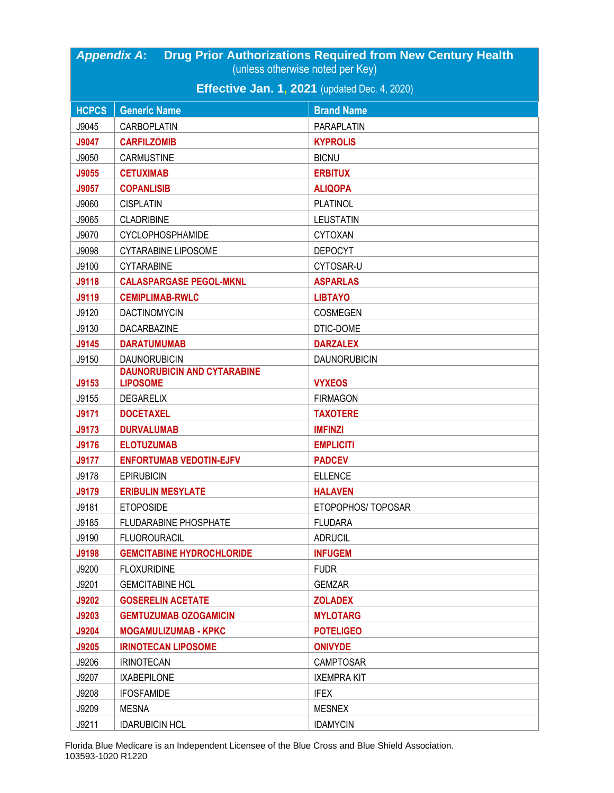| <b>Drug Prior Authorizations Required from New Century Health</b><br><b>Appendix A:</b><br>(unless otherwise noted per Key) |                                                       |                     |  |  |
|-----------------------------------------------------------------------------------------------------------------------------|-------------------------------------------------------|---------------------|--|--|
|                                                                                                                             | <b>Effective Jan. 1, 2021</b> (updated Dec. 4, 2020)  |                     |  |  |
| <b>HCPCS</b>                                                                                                                | <b>Generic Name</b><br><b>Brand Name</b>              |                     |  |  |
| J9045                                                                                                                       | CARBOPLATIN                                           | <b>PARAPLATIN</b>   |  |  |
| J9047                                                                                                                       | <b>CARFILZOMIB</b>                                    | <b>KYPROLIS</b>     |  |  |
| J9050                                                                                                                       | <b>CARMUSTINE</b>                                     | <b>BICNU</b>        |  |  |
| J9055                                                                                                                       | <b>CETUXIMAB</b>                                      | <b>ERBITUX</b>      |  |  |
| J9057                                                                                                                       | <b>COPANLISIB</b>                                     | <b>ALIQOPA</b>      |  |  |
| J9060                                                                                                                       | <b>CISPLATIN</b>                                      | <b>PLATINOL</b>     |  |  |
| J9065                                                                                                                       | <b>CLADRIBINE</b>                                     | <b>LEUSTATIN</b>    |  |  |
| J9070                                                                                                                       | CYCLOPHOSPHAMIDE                                      | <b>CYTOXAN</b>      |  |  |
| J9098                                                                                                                       | <b>CYTARABINE LIPOSOME</b>                            | <b>DEPOCYT</b>      |  |  |
| J9100                                                                                                                       | <b>CYTARABINE</b>                                     | CYTOSAR-U           |  |  |
| <b>J9118</b>                                                                                                                | <b>CALASPARGASE PEGOL-MKNL</b>                        | <b>ASPARLAS</b>     |  |  |
| J9119                                                                                                                       | <b>CEMIPLIMAB-RWLC</b>                                | <b>LIBTAYO</b>      |  |  |
| J9120                                                                                                                       | <b>DACTINOMYCIN</b>                                   | <b>COSMEGEN</b>     |  |  |
| J9130                                                                                                                       | DACARBAZINE                                           | DTIC-DOME           |  |  |
| J9145                                                                                                                       | <b>DARATUMUMAB</b>                                    | <b>DARZALEX</b>     |  |  |
| J9150                                                                                                                       | <b>DAUNORUBICIN</b>                                   | <b>DAUNORUBICIN</b> |  |  |
| J9153                                                                                                                       | <b>DAUNORUBICIN AND CYTARABINE</b><br><b>LIPOSOME</b> | <b>VYXEOS</b>       |  |  |
| J9155                                                                                                                       | <b>DEGARELIX</b>                                      | <b>FIRMAGON</b>     |  |  |
| <b>J9171</b>                                                                                                                | <b>DOCETAXEL</b>                                      | <b>TAXOTERE</b>     |  |  |
| <b>J9173</b>                                                                                                                | <b>DURVALUMAB</b>                                     | <b>IMFINZI</b>      |  |  |
| <b>J9176</b>                                                                                                                | <b>ELOTUZUMAB</b>                                     | <b>EMPLICITI</b>    |  |  |
| <b>J9177</b>                                                                                                                | <b>ENFORTUMAB VEDOTIN-EJFV</b>                        | <b>PADCEV</b>       |  |  |
| J9178                                                                                                                       | <b>EPIRUBICIN</b>                                     | <b>ELLENCE</b>      |  |  |
| <b>J9179</b>                                                                                                                | <b>ERIBULIN MESYLATE</b>                              | <b>HALAVEN</b>      |  |  |
| J9181                                                                                                                       | <b>ETOPOSIDE</b>                                      | ETOPOPHOS/TOPOSAR   |  |  |
| J9185                                                                                                                       | FLUDARABINE PHOSPHATE                                 | <b>FLUDARA</b>      |  |  |
| J9190                                                                                                                       | <b>FLUOROURACIL</b>                                   | <b>ADRUCIL</b>      |  |  |
| <b>J9198</b>                                                                                                                | <b>GEMCITABINE HYDROCHLORIDE</b>                      | <b>INFUGEM</b>      |  |  |
| J9200                                                                                                                       | <b>FLOXURIDINE</b>                                    | <b>FUDR</b>         |  |  |
| J9201                                                                                                                       | <b>GEMCITABINE HCL</b>                                | <b>GEMZAR</b>       |  |  |
| <b>J9202</b>                                                                                                                | <b>GOSERELIN ACETATE</b>                              | <b>ZOLADEX</b>      |  |  |
| J9203                                                                                                                       | <b>GEMTUZUMAB OZOGAMICIN</b>                          | <b>MYLOTARG</b>     |  |  |
| J9204                                                                                                                       | <b>MOGAMULIZUMAB - KPKC</b>                           | <b>POTELIGEO</b>    |  |  |
| <b>J9205</b>                                                                                                                | <b>IRINOTECAN LIPOSOME</b>                            | <b>ONIVYDE</b>      |  |  |
| J9206                                                                                                                       | <b>IRINOTECAN</b>                                     | <b>CAMPTOSAR</b>    |  |  |
| J9207                                                                                                                       | <b>IXABEPILONE</b>                                    | <b>IXEMPRA KIT</b>  |  |  |
| J9208                                                                                                                       | <b>IFOSFAMIDE</b>                                     | <b>IFEX</b>         |  |  |
| J9209                                                                                                                       | <b>MESNA</b>                                          | <b>MESNEX</b>       |  |  |
| J9211                                                                                                                       | <b>IDARUBICIN HCL</b>                                 | <b>IDAMYCIN</b>     |  |  |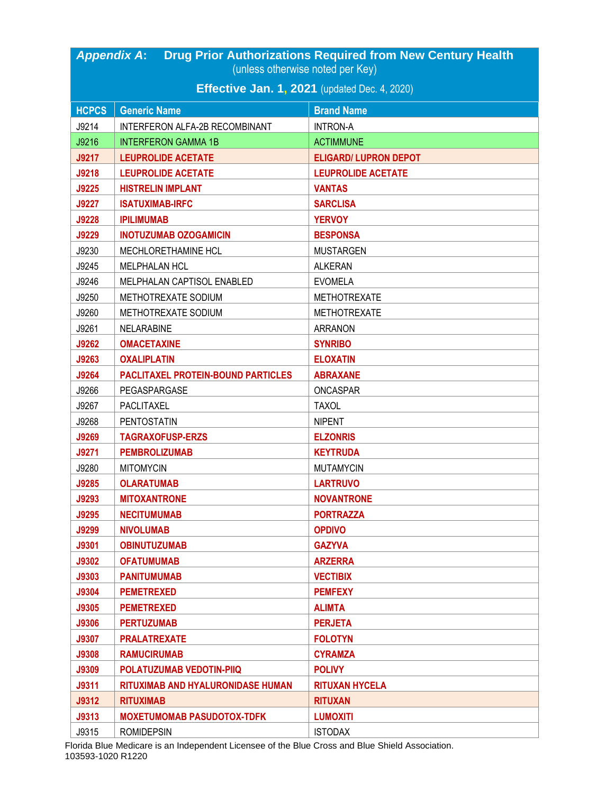| <b>Drug Prior Authorizations Required from New Century Health</b><br><b>Appendix A:</b><br>(unless otherwise noted per Key) |                                                      |                              |  |
|-----------------------------------------------------------------------------------------------------------------------------|------------------------------------------------------|------------------------------|--|
|                                                                                                                             |                                                      |                              |  |
|                                                                                                                             | <b>Effective Jan. 1, 2021</b> (updated Dec. 4, 2020) |                              |  |
| <b>HCPCS</b>                                                                                                                | <b>Generic Name</b>                                  | <b>Brand Name</b>            |  |
| J9214                                                                                                                       | INTERFERON ALFA-2B RECOMBINANT                       | <b>INTRON-A</b>              |  |
| J9216                                                                                                                       | <b>INTERFERON GAMMA 1B</b>                           | <b>ACTIMMUNE</b>             |  |
| <b>J9217</b>                                                                                                                | <b>LEUPROLIDE ACETATE</b>                            | <b>ELIGARD/ LUPRON DEPOT</b> |  |
| J9218                                                                                                                       | <b>LEUPROLIDE ACETATE</b>                            | <b>LEUPROLIDE ACETATE</b>    |  |
| J9225                                                                                                                       | <b>HISTRELIN IMPLANT</b>                             | <b>VANTAS</b>                |  |
| <b>J9227</b>                                                                                                                | <b>ISATUXIMAB-IRFC</b>                               | <b>SARCLISA</b>              |  |
| <b>J9228</b>                                                                                                                | <b>IPILIMUMAB</b>                                    | <b>YERVOY</b>                |  |
| <b>J9229</b>                                                                                                                | <b>INOTUZUMAB OZOGAMICIN</b>                         | <b>BESPONSA</b>              |  |
| J9230                                                                                                                       | MECHLORETHAMINE HCL                                  | <b>MUSTARGEN</b>             |  |
| J9245                                                                                                                       | <b>MELPHALAN HCL</b>                                 | <b>ALKERAN</b>               |  |
| J9246                                                                                                                       | MELPHALAN CAPTISOL ENABLED                           | <b>EVOMELA</b>               |  |
| J9250                                                                                                                       | METHOTREXATE SODIUM                                  | <b>METHOTREXATE</b>          |  |
| J9260                                                                                                                       | METHOTREXATE SODIUM                                  | <b>METHOTREXATE</b>          |  |
| J9261                                                                                                                       | <b>NELARABINE</b>                                    | <b>ARRANON</b>               |  |
| J9262                                                                                                                       | <b>OMACETAXINE</b>                                   | <b>SYNRIBO</b>               |  |
| J9263                                                                                                                       | <b>OXALIPLATIN</b>                                   | <b>ELOXATIN</b>              |  |
| J9264                                                                                                                       | <b>PACLITAXEL PROTEIN-BOUND PARTICLES</b>            | <b>ABRAXANE</b>              |  |
| J9266                                                                                                                       | PEGASPARGASE                                         | <b>ONCASPAR</b>              |  |
| J9267                                                                                                                       | PACLITAXEL                                           | <b>TAXOL</b>                 |  |
| J9268                                                                                                                       | <b>PENTOSTATIN</b>                                   | <b>NIPENT</b>                |  |
| <b>J9269</b>                                                                                                                | <b>TAGRAXOFUSP-ERZS</b>                              | <b>ELZONRIS</b>              |  |
| <b>J9271</b>                                                                                                                | <b>PEMBROLIZUMAB</b>                                 | <b>KEYTRUDA</b>              |  |
| J9280                                                                                                                       | <b>MITOMYCIN</b>                                     | <b>MUTAMYCIN</b>             |  |
| J9285                                                                                                                       | <b>OLARATUMAB</b>                                    | <b>LARTRUVO</b>              |  |
| J9293                                                                                                                       | <b>MITOXANTRONE</b>                                  | <b>NOVANTRONE</b>            |  |
| J9295                                                                                                                       | <b>NECITUMUMAB</b>                                   | <b>PORTRAZZA</b>             |  |
| <b>J9299</b>                                                                                                                | <b>NIVOLUMAB</b>                                     | <b>OPDIVO</b>                |  |
| J9301                                                                                                                       | <b>OBINUTUZUMAB</b>                                  | <b>GAZYVA</b>                |  |
| <b>J9302</b>                                                                                                                | <b>OFATUMUMAB</b>                                    | <b>ARZERRA</b>               |  |
| J9303                                                                                                                       | <b>PANITUMUMAB</b>                                   | <b>VECTIBIX</b>              |  |
| J9304                                                                                                                       | <b>PEMETREXED</b>                                    | <b>PEMFEXY</b>               |  |
| J9305                                                                                                                       | <b>PEMETREXED</b>                                    | <b>ALIMTA</b>                |  |
| <b>J9306</b>                                                                                                                | <b>PERTUZUMAB</b>                                    | <b>PERJETA</b>               |  |
| <b>J9307</b>                                                                                                                | <b>PRALATREXATE</b>                                  | <b>FOLOTYN</b>               |  |
| <b>J9308</b>                                                                                                                | <b>RAMUCIRUMAB</b>                                   | <b>CYRAMZA</b>               |  |
| <b>J9309</b>                                                                                                                | POLATUZUMAB VEDOTIN-PIIQ                             | <b>POLIVY</b>                |  |
| <b>J9311</b>                                                                                                                | RITUXIMAB AND HYALURONIDASE HUMAN                    | <b>RITUXAN HYCELA</b>        |  |
| <b>J9312</b>                                                                                                                | <b>RITUXIMAB</b>                                     | <b>RITUXAN</b>               |  |
| <b>J9313</b>                                                                                                                | <b>MOXETUMOMAB PASUDOTOX-TDFK</b>                    | <b>LUMOXITI</b>              |  |
| J9315                                                                                                                       | <b>ROMIDEPSIN</b>                                    | <b>ISTODAX</b>               |  |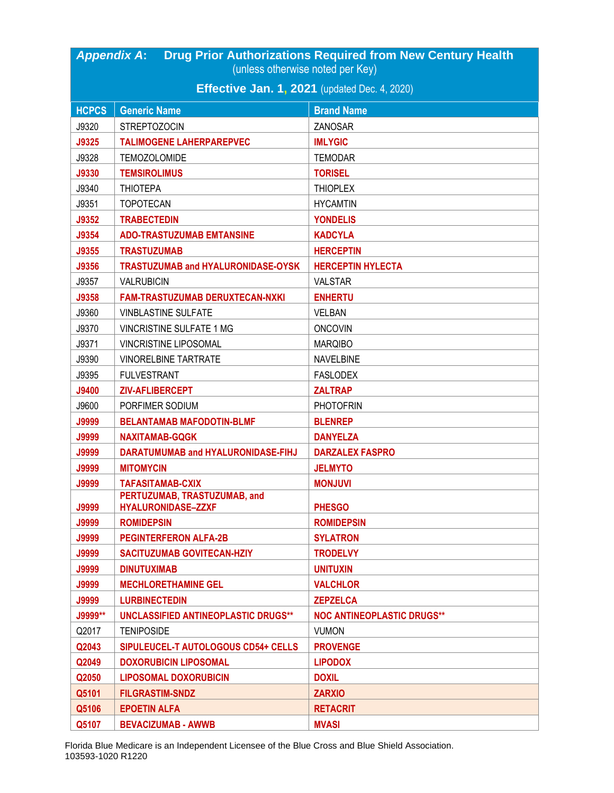| <b>Drug Prior Authorizations Required from New Century Health</b><br><b>Appendix A:</b> |                                                      |                                   |  |  |
|-----------------------------------------------------------------------------------------|------------------------------------------------------|-----------------------------------|--|--|
|                                                                                         | (unless otherwise noted per Key)                     |                                   |  |  |
|                                                                                         | <b>Effective Jan. 1, 2021</b> (updated Dec. 4, 2020) |                                   |  |  |
| <b>HCPCS</b>                                                                            | <b>Generic Name</b>                                  | <b>Brand Name</b>                 |  |  |
| J9320                                                                                   | <b>STREPTOZOCIN</b>                                  | ZANOSAR                           |  |  |
| <b>J9325</b>                                                                            | <b>TALIMOGENE LAHERPAREPVEC</b>                      | <b>IMLYGIC</b>                    |  |  |
| J9328                                                                                   | <b>TEMOZOLOMIDE</b>                                  | <b>TEMODAR</b>                    |  |  |
| <b>J9330</b>                                                                            | <b>TEMSIROLIMUS</b>                                  | <b>TORISEL</b>                    |  |  |
| J9340                                                                                   | <b>THIOTEPA</b>                                      | <b>THIOPLEX</b>                   |  |  |
| J9351                                                                                   | <b>TOPOTECAN</b>                                     | <b>HYCAMTIN</b>                   |  |  |
| J9352                                                                                   | <b>TRABECTEDIN</b>                                   | <b>YONDELIS</b>                   |  |  |
| J9354                                                                                   | <b>ADO-TRASTUZUMAB EMTANSINE</b>                     | <b>KADCYLA</b>                    |  |  |
| J9355                                                                                   | <b>TRASTUZUMAB</b>                                   | <b>HERCEPTIN</b>                  |  |  |
| J9356                                                                                   | TRASTUZUMAB and HYALURONIDASE-OYSK                   | <b>HERCEPTIN HYLECTA</b>          |  |  |
| J9357                                                                                   | <b>VALRUBICIN</b>                                    | <b>VALSTAR</b>                    |  |  |
| J9358                                                                                   | <b>FAM-TRASTUZUMAB DERUXTECAN-NXKI</b>               | <b>ENHERTU</b>                    |  |  |
| J9360                                                                                   | <b>VINBLASTINE SULFATE</b>                           | <b>VELBAN</b>                     |  |  |
| J9370                                                                                   | <b>VINCRISTINE SULFATE 1 MG</b>                      | <b>ONCOVIN</b>                    |  |  |
| J9371                                                                                   | <b>VINCRISTINE LIPOSOMAL</b>                         | <b>MARQIBO</b>                    |  |  |
| J9390                                                                                   | <b>VINORELBINE TARTRATE</b>                          | <b>NAVELBINE</b>                  |  |  |
| J9395                                                                                   | <b>FULVESTRANT</b>                                   | <b>FASLODEX</b>                   |  |  |
| <b>J9400</b>                                                                            | <b>ZIV-AFLIBERCEPT</b>                               | <b>ZALTRAP</b>                    |  |  |
| J9600                                                                                   | PORFIMER SODIUM                                      | <b>PHOTOFRIN</b>                  |  |  |
| <b>J9999</b>                                                                            | <b>BELANTAMAB MAFODOTIN-BLMF</b>                     | <b>BLENREP</b>                    |  |  |
| <b>J9999</b>                                                                            | <b>NAXITAMAB-GQGK</b>                                | <b>DANYELZA</b>                   |  |  |
| <b>J9999</b>                                                                            | DARATUMUMAB and HYALURONIDASE-FIHJ                   | <b>DARZALEX FASPRO</b>            |  |  |
| <b>J9999</b>                                                                            | <b>MITOMYCIN</b>                                     | <b>JELMYTO</b>                    |  |  |
| <b>J9999</b>                                                                            | <b>TAFASITAMAB-CXIX</b>                              | <b>MONJUVI</b>                    |  |  |
|                                                                                         | PERTUZUMAB, TRASTUZUMAB, and                         |                                   |  |  |
| <b>J9999</b>                                                                            | <b>HYALURONIDASE-ZZXF</b>                            | <b>PHESGO</b>                     |  |  |
| <b>J9999</b>                                                                            | <b>ROMIDEPSIN</b>                                    | <b>ROMIDEPSIN</b>                 |  |  |
| <b>J9999</b>                                                                            | <b>PEGINTERFERON ALFA-2B</b>                         | <b>SYLATRON</b>                   |  |  |
| <b>J9999</b>                                                                            | <b>SACITUZUMAB GOVITECAN-HZIY</b>                    | <b>TRODELVY</b>                   |  |  |
| <b>J9999</b>                                                                            | <b>DINUTUXIMAB</b>                                   | <b>UNITUXIN</b>                   |  |  |
| <b>J9999</b>                                                                            | <b>MECHLORETHAMINE GEL</b><br><b>LURBINECTEDIN</b>   | <b>VALCHLOR</b>                   |  |  |
| <b>J9999</b>                                                                            |                                                      | <b>ZEPZELCA</b>                   |  |  |
| J9999**                                                                                 | <b>UNCLASSIFIED ANTINEOPLASTIC DRUGS**</b>           | <b>NOC ANTINEOPLASTIC DRUGS**</b> |  |  |
| Q2017                                                                                   | <b>TENIPOSIDE</b>                                    | <b>VUMON</b>                      |  |  |
| Q2043                                                                                   | SIPULEUCEL-T AUTOLOGOUS CD54+ CELLS                  | <b>PROVENGE</b>                   |  |  |
| Q2049                                                                                   | <b>DOXORUBICIN LIPOSOMAL</b>                         | <b>LIPODOX</b>                    |  |  |
| Q2050                                                                                   | <b>LIPOSOMAL DOXORUBICIN</b>                         | <b>DOXIL</b>                      |  |  |
| Q5101                                                                                   | <b>FILGRASTIM-SNDZ</b>                               | <b>ZARXIO</b>                     |  |  |
| Q5106                                                                                   | <b>EPOETIN ALFA</b>                                  | <b>RETACRIT</b>                   |  |  |
| Q5107                                                                                   | <b>BEVACIZUMAB - AWWB</b>                            | <b>MVASI</b>                      |  |  |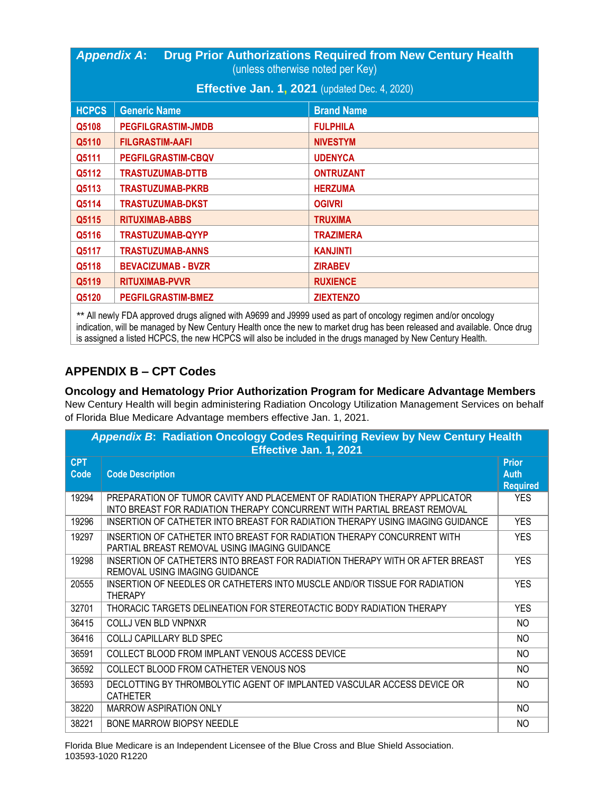| <b>Drug Prior Authorizations Required from New Century Health</b><br><b>Appendix A:</b><br>(unless otherwise noted per Key) |                                                      |                   |
|-----------------------------------------------------------------------------------------------------------------------------|------------------------------------------------------|-------------------|
|                                                                                                                             | <b>Effective Jan. 1, 2021</b> (updated Dec. 4, 2020) |                   |
| <b>HCPCS</b>                                                                                                                | <b>Generic Name</b>                                  | <b>Brand Name</b> |
| Q5108                                                                                                                       | <b>PEGFILGRASTIM-JMDB</b>                            | <b>FULPHILA</b>   |
| Q5110                                                                                                                       | <b>FILGRASTIM-AAFI</b>                               | <b>NIVESTYM</b>   |
| Q5111                                                                                                                       | <b>PEGFILGRASTIM-CBQV</b>                            | <b>UDENYCA</b>    |
| Q5112                                                                                                                       | <b>TRASTUZUMAB-DTTB</b>                              | <b>ONTRUZANT</b>  |
| Q5113                                                                                                                       | <b>TRASTUZUMAB-PKRB</b>                              | <b>HERZUMA</b>    |
| Q5114                                                                                                                       | <b>TRASTUZUMAB-DKST</b>                              | <b>OGIVRI</b>     |
| Q5115                                                                                                                       | <b>RITUXIMAB-ABBS</b>                                | <b>TRUXIMA</b>    |
| Q5116                                                                                                                       | <b>TRASTUZUMAB-QYYP</b>                              | <b>TRAZIMERA</b>  |
| Q5117                                                                                                                       | <b>TRASTUZUMAB-ANNS</b>                              | <b>KANJINTI</b>   |
| Q5118                                                                                                                       | <b>BEVACIZUMAB - BVZR</b>                            | <b>ZIRABEV</b>    |
| Q5119                                                                                                                       | <b>RITUXIMAB-PVVR</b>                                | <b>RUXIENCE</b>   |
| Q5120                                                                                                                       | <b>PEGFILGRASTIM-BMEZ</b>                            | <b>ZIEXTENZO</b>  |

*\*\** All newly FDA approved drugs aligned with A9699 and J9999 used as part of oncology regimen and/or oncology indication, will be managed by New Century Health once the new to market drug has been released and available. Once drug is assigned a listed HCPCS, the new HCPCS will also be included in the drugs managed by New Century Health.

## **APPENDIX B – CPT Codes**

## **Oncology and Hematology Prior Authorization Program for Medicare Advantage Members**

New Century Health will begin administering Radiation Oncology Utilization Management Services on behalf of Florida Blue Medicare Advantage members effective Jan. 1, 2021.

|                    | Appendix B: Radiation Oncology Codes Requiring Review by New Century Health<br>Effective Jan. 1, 2021                                                 |                                                |  |
|--------------------|-------------------------------------------------------------------------------------------------------------------------------------------------------|------------------------------------------------|--|
| <b>CPT</b><br>Code | <b>Code Description</b>                                                                                                                               | <b>Prior</b><br><b>Auth</b><br><b>Required</b> |  |
| 19294              | PREPARATION OF TUMOR CAVITY AND PLACEMENT OF RADIATION THERAPY APPLICATOR<br>INTO BREAST FOR RADIATION THERAPY CONCURRENT WITH PARTIAL BREAST REMOVAL | <b>YES</b>                                     |  |
| 19296              | INSERTION OF CATHETER INTO BREAST FOR RADIATION THERAPY USING IMAGING GUIDANCE                                                                        | <b>YES</b>                                     |  |
| 19297              | INSERTION OF CATHETER INTO BREAST FOR RADIATION THERAPY CONCURRENT WITH<br>PARTIAL BREAST REMOVAL USING IMAGING GUIDANCE                              | <b>YES</b>                                     |  |
| 19298              | INSERTION OF CATHETERS INTO BREAST FOR RADIATION THERAPY WITH OR AFTER BREAST<br>REMOVAL USING IMAGING GUIDANCE                                       | <b>YES</b>                                     |  |
| 20555              | INSERTION OF NEEDLES OR CATHETERS INTO MUSCLE AND/OR TISSUE FOR RADIATION<br><b>THERAPY</b>                                                           | <b>YES</b>                                     |  |
| 32701              | THORACIC TARGETS DELINEATION FOR STEREOTACTIC BODY RADIATION THERAPY                                                                                  | <b>YES</b>                                     |  |
| 36415              | COLLJ VEN BLD VNPNXR                                                                                                                                  | NO.                                            |  |
| 36416              | <b>COLLJ CAPILLARY BLD SPEC</b>                                                                                                                       | NO.                                            |  |
| 36591              | COLLECT BLOOD FROM IMPLANT VENOUS ACCESS DEVICE                                                                                                       | NO                                             |  |
| 36592              | COLLECT BLOOD FROM CATHETER VENOUS NOS                                                                                                                | N <sub>O</sub>                                 |  |
| 36593              | DECLOTTING BY THROMBOLYTIC AGENT OF IMPLANTED VASCULAR ACCESS DEVICE OR<br><b>CATHETER</b>                                                            | <b>NO</b>                                      |  |
| 38220              | MARROW ASPIRATION ONLY                                                                                                                                | N <sub>O</sub>                                 |  |
| 38221              | BONE MARROW BIOPSY NEEDLE                                                                                                                             | NO                                             |  |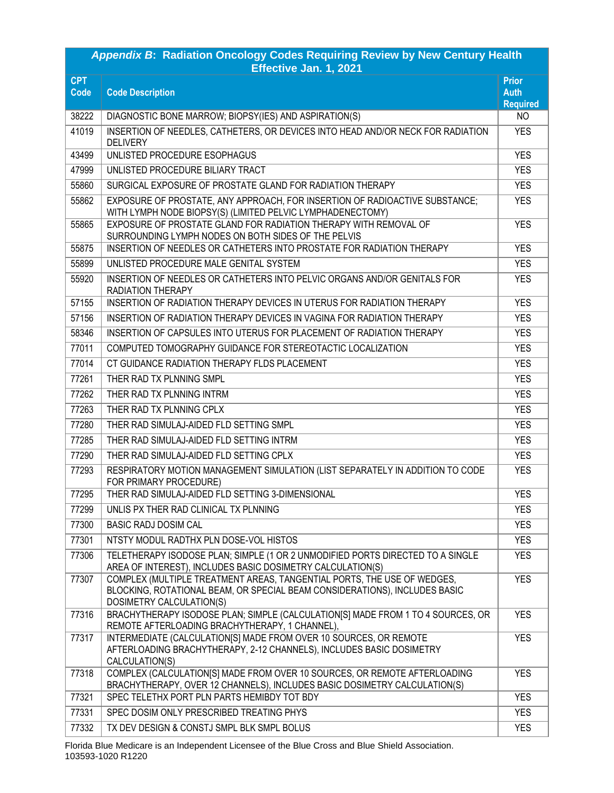| Appendix B: Radiation Oncology Codes Requiring Review by New Century Health<br>Effective Jan. 1, 2021 |                                                                                                                                                                                   |                                                |
|-------------------------------------------------------------------------------------------------------|-----------------------------------------------------------------------------------------------------------------------------------------------------------------------------------|------------------------------------------------|
| <b>CPT</b><br><b>Code</b>                                                                             | <b>Code Description</b>                                                                                                                                                           | <b>Prior</b><br><b>Auth</b><br><b>Required</b> |
| 38222                                                                                                 | DIAGNOSTIC BONE MARROW; BIOPSY(IES) AND ASPIRATION(S)                                                                                                                             | NO.                                            |
| 41019                                                                                                 | INSERTION OF NEEDLES, CATHETERS, OR DEVICES INTO HEAD AND/OR NECK FOR RADIATION<br><b>DELIVERY</b>                                                                                | <b>YES</b>                                     |
| 43499                                                                                                 | UNLISTED PROCEDURE ESOPHAGUS                                                                                                                                                      | <b>YES</b>                                     |
| 47999                                                                                                 | UNLISTED PROCEDURE BILIARY TRACT                                                                                                                                                  | <b>YES</b>                                     |
| 55860                                                                                                 | SURGICAL EXPOSURE OF PROSTATE GLAND FOR RADIATION THERAPY                                                                                                                         | <b>YES</b>                                     |
| 55862                                                                                                 | EXPOSURE OF PROSTATE, ANY APPROACH, FOR INSERTION OF RADIOACTIVE SUBSTANCE;<br>WITH LYMPH NODE BIOPSY(S) (LIMITED PELVIC LYMPHADENECTOMY)                                         | <b>YES</b>                                     |
| 55865                                                                                                 | EXPOSURE OF PROSTATE GLAND FOR RADIATION THERAPY WITH REMOVAL OF<br>SURROUNDING LYMPH NODES ON BOTH SIDES OF THE PELVIS                                                           | <b>YES</b>                                     |
| 55875                                                                                                 | INSERTION OF NEEDLES OR CATHETERS INTO PROSTATE FOR RADIATION THERAPY                                                                                                             | <b>YES</b>                                     |
| 55899                                                                                                 | UNLISTED PROCEDURE MALE GENITAL SYSTEM                                                                                                                                            | <b>YES</b>                                     |
| 55920                                                                                                 | INSERTION OF NEEDLES OR CATHETERS INTO PELVIC ORGANS AND/OR GENITALS FOR<br><b>RADIATION THERAPY</b>                                                                              | <b>YES</b>                                     |
| 57155                                                                                                 | INSERTION OF RADIATION THERAPY DEVICES IN UTERUS FOR RADIATION THERAPY                                                                                                            | <b>YES</b>                                     |
| 57156                                                                                                 | INSERTION OF RADIATION THERAPY DEVICES IN VAGINA FOR RADIATION THERAPY                                                                                                            | <b>YES</b>                                     |
| 58346                                                                                                 | INSERTION OF CAPSULES INTO UTERUS FOR PLACEMENT OF RADIATION THERAPY                                                                                                              | <b>YES</b>                                     |
| 77011                                                                                                 | COMPUTED TOMOGRAPHY GUIDANCE FOR STEREOTACTIC LOCALIZATION                                                                                                                        | <b>YES</b>                                     |
| 77014                                                                                                 | CT GUIDANCE RADIATION THERAPY FLDS PLACEMENT                                                                                                                                      | <b>YES</b>                                     |
| 77261                                                                                                 | THER RAD TX PLNNING SMPL                                                                                                                                                          | <b>YES</b>                                     |
| 77262                                                                                                 | THER RAD TX PLNNING INTRM                                                                                                                                                         | <b>YES</b>                                     |
| 77263                                                                                                 | THER RAD TX PLNNING CPLX                                                                                                                                                          | <b>YES</b>                                     |
| 77280                                                                                                 | THER RAD SIMULAJ-AIDED FLD SETTING SMPL                                                                                                                                           | <b>YES</b>                                     |
| 77285                                                                                                 | THER RAD SIMULAJ-AIDED FLD SETTING INTRM                                                                                                                                          | <b>YES</b>                                     |
| 77290                                                                                                 | THER RAD SIMULAJ-AIDED FLD SETTING CPLX                                                                                                                                           | <b>YES</b>                                     |
| 77293                                                                                                 | RESPIRATORY MOTION MANAGEMENT SIMULATION (LIST SEPARATELY IN ADDITION TO CODE<br>FOR PRIMARY PROCEDURE)                                                                           | <b>YES</b>                                     |
| 77295                                                                                                 | THER RAD SIMULAJ-AIDED FLD SETTING 3-DIMENSIONAL                                                                                                                                  | <b>YES</b>                                     |
| 77299                                                                                                 | UNLIS PX THER RAD CLINICAL TX PLNNING                                                                                                                                             | <b>YES</b>                                     |
| 77300                                                                                                 | <b>BASIC RADJ DOSIM CAL</b>                                                                                                                                                       | <b>YES</b>                                     |
| 77301                                                                                                 | NTSTY MODUL RADTHX PLN DOSE-VOL HISTOS                                                                                                                                            | <b>YES</b>                                     |
| 77306                                                                                                 | TELETHERAPY ISODOSE PLAN; SIMPLE (1 OR 2 UNMODIFIED PORTS DIRECTED TO A SINGLE<br>AREA OF INTEREST), INCLUDES BASIC DOSIMETRY CALCULATION(S)                                      | <b>YES</b>                                     |
| 77307                                                                                                 | COMPLEX (MULTIPLE TREATMENT AREAS, TANGENTIAL PORTS, THE USE OF WEDGES,<br>BLOCKING, ROTATIONAL BEAM, OR SPECIAL BEAM CONSIDERATIONS), INCLUDES BASIC<br>DOSIMETRY CALCULATION(S) | <b>YES</b>                                     |
| 77316                                                                                                 | BRACHYTHERAPY ISODOSE PLAN; SIMPLE (CALCULATION[S] MADE FROM 1 TO 4 SOURCES, OR<br>REMOTE AFTERLOADING BRACHYTHERAPY, 1 CHANNEL),                                                 | <b>YES</b>                                     |
| 77317                                                                                                 | INTERMEDIATE (CALCULATION[S] MADE FROM OVER 10 SOURCES, OR REMOTE<br>AFTERLOADING BRACHYTHERAPY, 2-12 CHANNELS), INCLUDES BASIC DOSIMETRY<br>CALCULATION(S)                       | <b>YES</b>                                     |
| 77318                                                                                                 | COMPLEX (CALCULATION[S] MADE FROM OVER 10 SOURCES, OR REMOTE AFTERLOADING<br>BRACHYTHERAPY, OVER 12 CHANNELS), INCLUDES BASIC DOSIMETRY CALCULATION(S)                            | <b>YES</b>                                     |
| 77321                                                                                                 | SPEC TELETHX PORT PLN PARTS HEMIBDY TOT BDY                                                                                                                                       | <b>YES</b>                                     |
| 77331                                                                                                 | SPEC DOSIM ONLY PRESCRIBED TREATING PHYS                                                                                                                                          | <b>YES</b>                                     |
| 77332                                                                                                 | TX DEV DESIGN & CONSTJ SMPL BLK SMPL BOLUS                                                                                                                                        | <b>YES</b>                                     |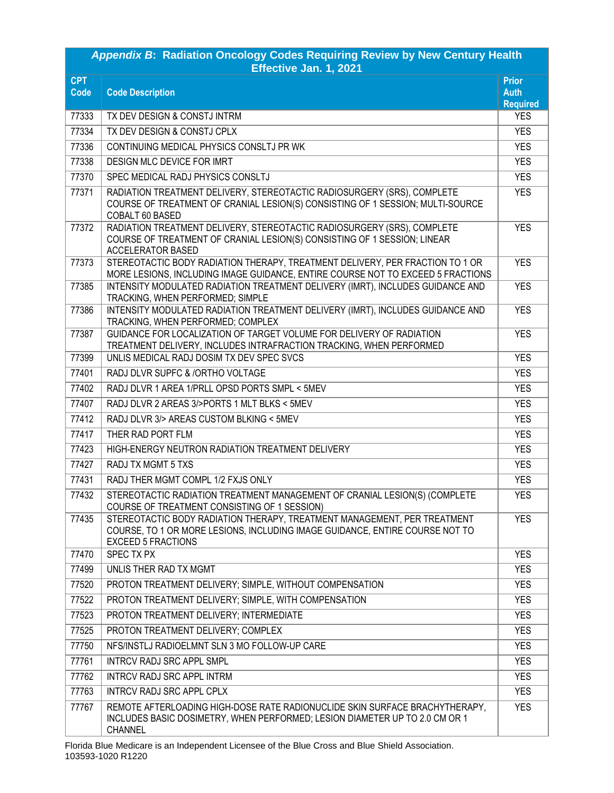| <b>Appendix B: Radiation Oncology Codes Requiring Review by New Century Health</b><br>Effective Jan. 1, 2021 |                                                                                                                                                                                       |                                                |  |
|--------------------------------------------------------------------------------------------------------------|---------------------------------------------------------------------------------------------------------------------------------------------------------------------------------------|------------------------------------------------|--|
| <b>CPT</b><br>Code                                                                                           | <b>Code Description</b>                                                                                                                                                               | <b>Prior</b><br><b>Auth</b><br><b>Required</b> |  |
| 77333                                                                                                        | TX DEV DESIGN & CONSTJ INTRM                                                                                                                                                          | <b>YES</b>                                     |  |
| 77334                                                                                                        | TX DEV DESIGN & CONSTJ CPLX                                                                                                                                                           | <b>YES</b>                                     |  |
| 77336                                                                                                        | CONTINUING MEDICAL PHYSICS CONSLTJ PR WK                                                                                                                                              | <b>YES</b>                                     |  |
| 77338                                                                                                        | DESIGN MLC DEVICE FOR IMRT                                                                                                                                                            | <b>YES</b>                                     |  |
| 77370                                                                                                        | SPEC MEDICAL RADJ PHYSICS CONSLTJ                                                                                                                                                     | <b>YES</b>                                     |  |
| 77371                                                                                                        | RADIATION TREATMENT DELIVERY, STEREOTACTIC RADIOSURGERY (SRS), COMPLETE<br>COURSE OF TREATMENT OF CRANIAL LESION(S) CONSISTING OF 1 SESSION; MULTI-SOURCE<br>COBALT 60 BASED          | <b>YES</b>                                     |  |
| 77372                                                                                                        | RADIATION TREATMENT DELIVERY, STEREOTACTIC RADIOSURGERY (SRS), COMPLETE<br>COURSE OF TREATMENT OF CRANIAL LESION(S) CONSISTING OF 1 SESSION; LINEAR<br><b>ACCELERATOR BASED</b>       | <b>YES</b>                                     |  |
| 77373                                                                                                        | STEREOTACTIC BODY RADIATION THERAPY, TREATMENT DELIVERY, PER FRACTION TO 1 OR<br>MORE LESIONS, INCLUDING IMAGE GUIDANCE, ENTIRE COURSE NOT TO EXCEED 5 FRACTIONS                      | <b>YES</b>                                     |  |
| 77385                                                                                                        | INTENSITY MODULATED RADIATION TREATMENT DELIVERY (IMRT), INCLUDES GUIDANCE AND<br>TRACKING, WHEN PERFORMED; SIMPLE                                                                    | <b>YES</b>                                     |  |
| 77386                                                                                                        | INTENSITY MODULATED RADIATION TREATMENT DELIVERY (IMRT), INCLUDES GUIDANCE AND<br>TRACKING, WHEN PERFORMED; COMPLEX                                                                   | <b>YES</b>                                     |  |
| 77387                                                                                                        | GUIDANCE FOR LOCALIZATION OF TARGET VOLUME FOR DELIVERY OF RADIATION<br>TREATMENT DELIVERY, INCLUDES INTRAFRACTION TRACKING, WHEN PERFORMED                                           | <b>YES</b>                                     |  |
| 77399                                                                                                        | UNLIS MEDICAL RADJ DOSIM TX DEV SPEC SVCS                                                                                                                                             | <b>YES</b>                                     |  |
| 77401                                                                                                        | RADJ DLVR SUPFC & /ORTHO VOLTAGE                                                                                                                                                      | <b>YES</b>                                     |  |
| 77402                                                                                                        | RADJ DLVR 1 AREA 1/PRLL OPSD PORTS SMPL < 5MEV                                                                                                                                        | <b>YES</b>                                     |  |
| 77407                                                                                                        | RADJ DLVR 2 AREAS 3/>PORTS 1 MLT BLKS < 5MEV                                                                                                                                          | <b>YES</b>                                     |  |
| 77412                                                                                                        | RADJ DLVR 3/> AREAS CUSTOM BLKING < 5MEV                                                                                                                                              | <b>YES</b>                                     |  |
| 77417                                                                                                        | THER RAD PORT FLM                                                                                                                                                                     | <b>YES</b>                                     |  |
| 77423                                                                                                        | HIGH-ENERGY NEUTRON RADIATION TREATMENT DELIVERY                                                                                                                                      | <b>YES</b>                                     |  |
| 77427                                                                                                        | RADJ TX MGMT 5 TXS                                                                                                                                                                    | <b>YES</b>                                     |  |
| 77431                                                                                                        | RADJ THER MGMT COMPL 1/2 FXJS ONLY                                                                                                                                                    | <b>YES</b>                                     |  |
| 77432                                                                                                        | STEREOTACTIC RADIATION TREATMENT MANAGEMENT OF CRANIAL LESION(S) (COMPLETE<br>COURSE OF TREATMENT CONSISTING OF 1 SESSION)                                                            | <b>YES</b>                                     |  |
| 77435                                                                                                        | STEREOTACTIC BODY RADIATION THERAPY, TREATMENT MANAGEMENT, PER TREATMENT<br>COURSE, TO 1 OR MORE LESIONS, INCLUDING IMAGE GUIDANCE, ENTIRE COURSE NOT TO<br><b>EXCEED 5 FRACTIONS</b> | <b>YES</b>                                     |  |
| 77470                                                                                                        | SPEC TX PX                                                                                                                                                                            | <b>YES</b>                                     |  |
| 77499                                                                                                        | UNLIS THER RAD TX MGMT                                                                                                                                                                | <b>YES</b>                                     |  |
| 77520                                                                                                        | PROTON TREATMENT DELIVERY; SIMPLE, WITHOUT COMPENSATION                                                                                                                               | <b>YES</b>                                     |  |
| 77522                                                                                                        | PROTON TREATMENT DELIVERY; SIMPLE, WITH COMPENSATION                                                                                                                                  | <b>YES</b>                                     |  |
| 77523                                                                                                        | PROTON TREATMENT DELIVERY; INTERMEDIATE                                                                                                                                               | <b>YES</b>                                     |  |
| 77525                                                                                                        | PROTON TREATMENT DELIVERY; COMPLEX                                                                                                                                                    | <b>YES</b>                                     |  |
| 77750                                                                                                        | NFS/INSTLJ RADIOELMNT SLN 3 MO FOLLOW-UP CARE                                                                                                                                         | <b>YES</b>                                     |  |
| 77761                                                                                                        | <b>INTRCV RADJ SRC APPL SMPL</b>                                                                                                                                                      | <b>YES</b>                                     |  |
| 77762                                                                                                        | <b>INTRCV RADJ SRC APPL INTRM</b>                                                                                                                                                     | <b>YES</b>                                     |  |
| 77763                                                                                                        | INTRCV RADJ SRC APPL CPLX                                                                                                                                                             | <b>YES</b>                                     |  |
| 77767                                                                                                        | REMOTE AFTERLOADING HIGH-DOSE RATE RADIONUCLIDE SKIN SURFACE BRACHYTHERAPY,<br>INCLUDES BASIC DOSIMETRY, WHEN PERFORMED; LESION DIAMETER UP TO 2.0 CM OR 1<br><b>CHANNEL</b>          | <b>YES</b>                                     |  |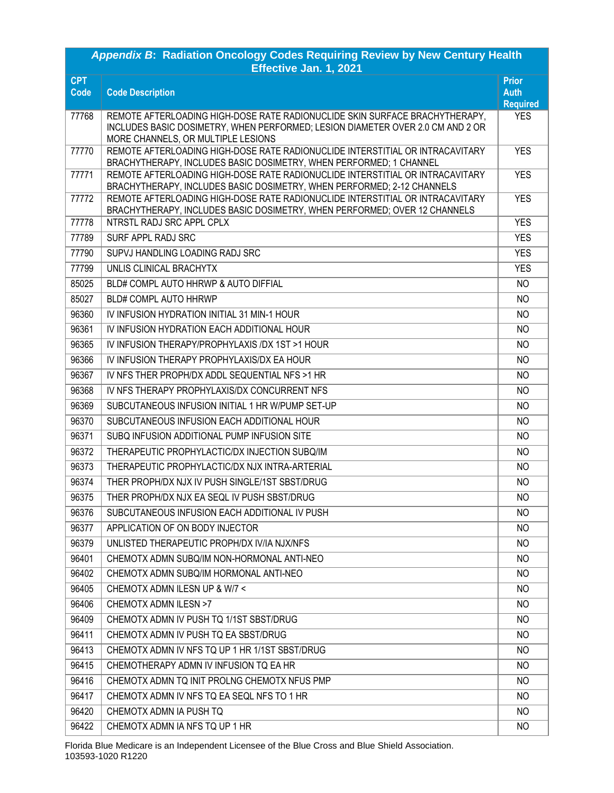| Appendix B: Radiation Oncology Codes Requiring Review by New Century Health<br>Effective Jan. 1, 2021 |                                                                                                                                                                                                     |                      |  |
|-------------------------------------------------------------------------------------------------------|-----------------------------------------------------------------------------------------------------------------------------------------------------------------------------------------------------|----------------------|--|
| <b>CPT</b><br>Code                                                                                    | <b>Code Description</b>                                                                                                                                                                             | Prior<br><b>Auth</b> |  |
|                                                                                                       |                                                                                                                                                                                                     | <b>Required</b>      |  |
| 77768                                                                                                 | REMOTE AFTERLOADING HIGH-DOSE RATE RADIONUCLIDE SKIN SURFACE BRACHYTHERAPY.<br>INCLUDES BASIC DOSIMETRY, WHEN PERFORMED; LESION DIAMETER OVER 2.0 CM AND 2 OR<br>MORE CHANNELS, OR MULTIPLE LESIONS | <b>YES</b>           |  |
| 77770                                                                                                 | REMOTE AFTERLOADING HIGH-DOSE RATE RADIONUCLIDE INTERSTITIAL OR INTRACAVITARY<br>BRACHYTHERAPY, INCLUDES BASIC DOSIMETRY, WHEN PERFORMED; 1 CHANNEL                                                 | <b>YES</b>           |  |
| 77771                                                                                                 | REMOTE AFTERLOADING HIGH-DOSE RATE RADIONUCLIDE INTERSTITIAL OR INTRACAVITARY<br>BRACHYTHERAPY, INCLUDES BASIC DOSIMETRY, WHEN PERFORMED; 2-12 CHANNELS                                             | <b>YES</b>           |  |
| 77772                                                                                                 | REMOTE AFTERLOADING HIGH-DOSE RATE RADIONUCLIDE INTERSTITIAL OR INTRACAVITARY<br>BRACHYTHERAPY, INCLUDES BASIC DOSIMETRY, WHEN PERFORMED; OVER 12 CHANNELS                                          | <b>YES</b>           |  |
| 77778                                                                                                 | NTRSTL RADJ SRC APPL CPLX                                                                                                                                                                           | <b>YES</b>           |  |
| 77789                                                                                                 | SURF APPL RADJ SRC                                                                                                                                                                                  | <b>YES</b>           |  |
| 77790                                                                                                 | SUPVJ HANDLING LOADING RADJ SRC                                                                                                                                                                     | <b>YES</b>           |  |
| 77799                                                                                                 | UNLIS CLINICAL BRACHYTX                                                                                                                                                                             | <b>YES</b>           |  |
| 85025                                                                                                 | BLD# COMPL AUTO HHRWP & AUTO DIFFIAL                                                                                                                                                                | N <sub>O</sub>       |  |
| 85027                                                                                                 | <b>BLD# COMPL AUTO HHRWP</b>                                                                                                                                                                        | NO.                  |  |
| 96360                                                                                                 | IV INFUSION HYDRATION INITIAL 31 MIN-1 HOUR                                                                                                                                                         | N <sub>O</sub>       |  |
| 96361                                                                                                 | IV INFUSION HYDRATION EACH ADDITIONAL HOUR                                                                                                                                                          | NO.                  |  |
| 96365                                                                                                 | IV INFUSION THERAPY/PROPHYLAXIS /DX 1ST >1 HOUR                                                                                                                                                     | NO.                  |  |
| 96366                                                                                                 | IV INFUSION THERAPY PROPHYLAXIS/DX EA HOUR                                                                                                                                                          | N <sub>O</sub>       |  |
| 96367                                                                                                 | IV NFS THER PROPH/DX ADDL SEQUENTIAL NFS >1 HR                                                                                                                                                      | N <sub>O</sub>       |  |
| 96368                                                                                                 | IV NFS THERAPY PROPHYLAXIS/DX CONCURRENT NFS                                                                                                                                                        | N <sub>O</sub>       |  |
| 96369                                                                                                 | SUBCUTANEOUS INFUSION INITIAL 1 HR W/PUMP SET-UP                                                                                                                                                    | N <sub>O</sub>       |  |
| 96370                                                                                                 | SUBCUTANEOUS INFUSION EACH ADDITIONAL HOUR                                                                                                                                                          | N <sub>O</sub>       |  |
| 96371                                                                                                 | SUBQ INFUSION ADDITIONAL PUMP INFUSION SITE                                                                                                                                                         | N <sub>O</sub>       |  |
| 96372                                                                                                 | THERAPEUTIC PROPHYLACTIC/DX INJECTION SUBQ/IM                                                                                                                                                       | N <sub>O</sub>       |  |
| 96373                                                                                                 | THERAPEUTIC PROPHYLACTIC/DX NJX INTRA-ARTERIAL                                                                                                                                                      | NO.                  |  |
| 96374                                                                                                 | THER PROPH/DX NJX IV PUSH SINGLE/1ST SBST/DRUG                                                                                                                                                      | NO.                  |  |
| 96375                                                                                                 | THER PROPH/DX NJX EA SEOL IV PUSH SBST/DRUG                                                                                                                                                         | <b>NO</b>            |  |
| 96376                                                                                                 | SUBCUTANEOUS INFUSION EACH ADDITIONAL IV PUSH                                                                                                                                                       | NO.                  |  |
| 96377                                                                                                 | APPLICATION OF ON BODY INJECTOR                                                                                                                                                                     | N <sub>O</sub>       |  |
| 96379                                                                                                 | UNLISTED THERAPEUTIC PROPH/DX IV/IA NJX/NFS                                                                                                                                                         | NO.                  |  |
| 96401                                                                                                 | CHEMOTX ADMN SUBQ/IM NON-HORMONAL ANTI-NEO                                                                                                                                                          | NO.                  |  |
| 96402                                                                                                 | CHEMOTX ADMN SUBQ/IM HORMONAL ANTI-NEO                                                                                                                                                              | NO.                  |  |
| 96405                                                                                                 | CHEMOTX ADMN ILESN UP & W/7 <                                                                                                                                                                       | N <sub>O</sub>       |  |
| 96406                                                                                                 | CHEMOTX ADMN ILESN >7                                                                                                                                                                               | NO                   |  |
| 96409                                                                                                 | CHEMOTX ADMN IV PUSH TQ 1/1ST SBST/DRUG                                                                                                                                                             | NO                   |  |
| 96411                                                                                                 | CHEMOTX ADMN IV PUSH TQ EA SBST/DRUG                                                                                                                                                                | NO.                  |  |
| 96413                                                                                                 | CHEMOTX ADMN IV NFS TQ UP 1 HR 1/1ST SBST/DRUG                                                                                                                                                      | NO.                  |  |
| 96415                                                                                                 | CHEMOTHERAPY ADMN IV INFUSION TO EA HR                                                                                                                                                              | NO.                  |  |
| 96416                                                                                                 | CHEMOTX ADMN TQ INIT PROLNG CHEMOTX NFUS PMP                                                                                                                                                        | NO                   |  |
| 96417                                                                                                 | CHEMOTX ADMN IV NFS TQ EA SEQL NFS TO 1 HR                                                                                                                                                          | NO.                  |  |
| 96420                                                                                                 | CHEMOTX ADMN IA PUSH TQ                                                                                                                                                                             | NO.                  |  |
| 96422                                                                                                 | CHEMOTX ADMN IA NFS TQ UP 1 HR                                                                                                                                                                      | NO                   |  |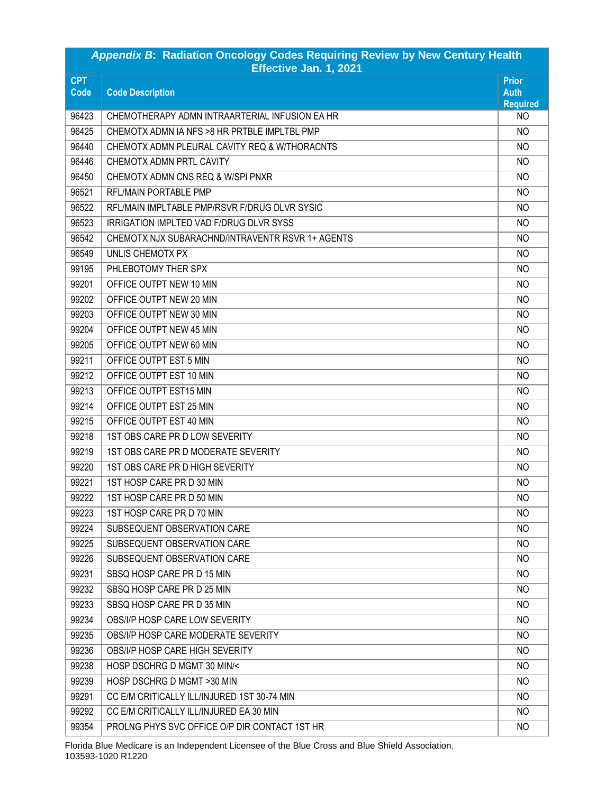| Appendix B: Radiation Oncology Codes Requiring Review by New Century Health<br>Effective Jan. 1, 2021 |                                                  |                                                |  |
|-------------------------------------------------------------------------------------------------------|--------------------------------------------------|------------------------------------------------|--|
| <b>CPT</b><br><b>Code</b>                                                                             | <b>Code Description</b>                          | <b>Prior</b><br><b>Auth</b><br><b>Required</b> |  |
| 96423                                                                                                 | CHEMOTHERAPY ADMN INTRAARTERIAL INFUSION EA HR   | N <sub>O</sub>                                 |  |
| 96425                                                                                                 | CHEMOTX ADMN IA NFS > 8 HR PRTBLE IMPLTBL PMP    | N <sub>O</sub>                                 |  |
| 96440                                                                                                 | CHEMOTX ADMN PLEURAL CAVITY REQ & W/THORACNTS    | N <sub>O</sub>                                 |  |
| 96446                                                                                                 | CHEMOTX ADMN PRTL CAVITY                         | N <sub>O</sub>                                 |  |
| 96450                                                                                                 | CHEMOTX ADMN CNS REQ & W/SPI PNXR                | N <sub>O</sub>                                 |  |
| 96521                                                                                                 | RFL/MAIN PORTABLE PMP                            | N <sub>O</sub>                                 |  |
| 96522                                                                                                 | RFL/MAIN IMPLTABLE PMP/RSVR F/DRUG DLVR SYSIC    | N <sub>O</sub>                                 |  |
| 96523                                                                                                 | IRRIGATION IMPLTED VAD F/DRUG DLVR SYSS          | N <sub>O</sub>                                 |  |
| 96542                                                                                                 | CHEMOTX NJX SUBARACHND/INTRAVENTR RSVR 1+ AGENTS | N <sub>O</sub>                                 |  |
| 96549                                                                                                 | UNLIS CHEMOTX PX                                 | N <sub>O</sub>                                 |  |
| 99195                                                                                                 | PHLEBOTOMY THER SPX                              | N <sub>O</sub>                                 |  |
| 99201                                                                                                 | OFFICE OUTPT NEW 10 MIN                          | N <sub>O</sub>                                 |  |
| 99202                                                                                                 | OFFICE OUTPT NEW 20 MIN                          | N <sub>O</sub>                                 |  |
| 99203                                                                                                 | OFFICE OUTPT NEW 30 MIN                          | N <sub>O</sub>                                 |  |
| 99204                                                                                                 | OFFICE OUTPT NEW 45 MIN                          | N <sub>O</sub>                                 |  |
| 99205                                                                                                 | OFFICE OUTPT NEW 60 MIN                          | N <sub>O</sub>                                 |  |
| 99211                                                                                                 | OFFICE OUTPT EST 5 MIN                           | N <sub>O</sub>                                 |  |
| 99212                                                                                                 | OFFICE OUTPT EST 10 MIN                          | N <sub>O</sub>                                 |  |
| 99213                                                                                                 | OFFICE OUTPT EST15 MIN                           | N <sub>O</sub>                                 |  |
| 99214                                                                                                 | OFFICE OUTPT EST 25 MIN                          | N <sub>O</sub>                                 |  |
| 99215                                                                                                 | OFFICE OUTPT EST 40 MIN                          | N <sub>O</sub>                                 |  |
| 99218                                                                                                 | 1ST OBS CARE PR D LOW SEVERITY                   | N <sub>O</sub>                                 |  |
| 99219                                                                                                 | 1ST OBS CARE PR D MODERATE SEVERITY              | N <sub>O</sub>                                 |  |
| 99220                                                                                                 | 1ST OBS CARE PR D HIGH SEVERITY                  | NO                                             |  |
| 99221                                                                                                 | 1ST HOSP CARE PR D 30 MIN                        | NO                                             |  |
| 99222                                                                                                 | 1ST HOSP CARE PR D 50 MIN                        | <b>NO</b>                                      |  |
| 99223                                                                                                 | 1ST HOSP CARE PR D 70 MIN                        | NO.                                            |  |
| 99224                                                                                                 | SUBSEQUENT OBSERVATION CARE                      | N <sub>O</sub>                                 |  |
| 99225                                                                                                 | SUBSEQUENT OBSERVATION CARE                      | NO.                                            |  |
| 99226                                                                                                 | SUBSEQUENT OBSERVATION CARE                      | N <sub>O</sub>                                 |  |
| 99231                                                                                                 | SBSQ HOSP CARE PR D 15 MIN                       | N <sub>O</sub>                                 |  |
| 99232                                                                                                 | SBSQ HOSP CARE PR D 25 MIN                       | N <sub>O</sub>                                 |  |
| 99233                                                                                                 | SBSQ HOSP CARE PR D 35 MIN                       | NO                                             |  |
| 99234                                                                                                 | OBS/I/P HOSP CARE LOW SEVERITY                   | N <sub>O</sub>                                 |  |
| 99235                                                                                                 | OBS/I/P HOSP CARE MODERATE SEVERITY              | NO.                                            |  |
| 99236                                                                                                 | OBS/I/P HOSP CARE HIGH SEVERITY                  | NO.                                            |  |
| 99238                                                                                                 | HOSP DSCHRG D MGMT 30 MIN/<                      | NO.                                            |  |
| 99239                                                                                                 | HOSP DSCHRG D MGMT >30 MIN                       | NO.                                            |  |
| 99291                                                                                                 | CC E/M CRITICALLY ILL/INJURED 1ST 30-74 MIN      | N <sub>O</sub>                                 |  |
| 99292                                                                                                 | CC E/M CRITICALLY ILL/INJURED EA 30 MIN          | NO.                                            |  |
| 99354                                                                                                 | PROLNG PHYS SVC OFFICE O/P DIR CONTACT 1ST HR    | NO.                                            |  |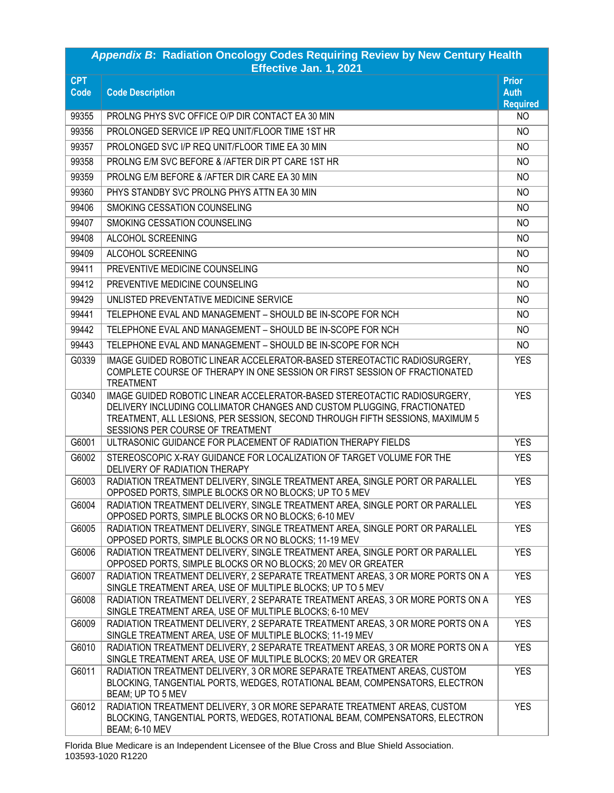| Appendix B: Radiation Oncology Codes Requiring Review by New Century Health<br>Effective Jan. 1, 2021 |                                                                                                                                                                                                                                                                          |                                                |  |
|-------------------------------------------------------------------------------------------------------|--------------------------------------------------------------------------------------------------------------------------------------------------------------------------------------------------------------------------------------------------------------------------|------------------------------------------------|--|
| <b>CPT</b><br>Code                                                                                    | <b>Code Description</b>                                                                                                                                                                                                                                                  | <b>Prior</b><br><b>Auth</b><br><b>Required</b> |  |
| 99355                                                                                                 | PROLNG PHYS SVC OFFICE O/P DIR CONTACT EA 30 MIN                                                                                                                                                                                                                         | N <sub>O</sub>                                 |  |
| 99356                                                                                                 | PROLONGED SERVICE I/P REQ UNIT/FLOOR TIME 1ST HR                                                                                                                                                                                                                         | N <sub>O</sub>                                 |  |
| 99357                                                                                                 | PROLONGED SVC I/P REQ UNIT/FLOOR TIME EA 30 MIN                                                                                                                                                                                                                          | N <sub>O</sub>                                 |  |
| 99358                                                                                                 | PROLNG E/M SVC BEFORE & /AFTER DIR PT CARE 1ST HR                                                                                                                                                                                                                        | N <sub>O</sub>                                 |  |
| 99359                                                                                                 | PROLNG E/M BEFORE & /AFTER DIR CARE EA 30 MIN                                                                                                                                                                                                                            | NO.                                            |  |
| 99360                                                                                                 | PHYS STANDBY SVC PROLNG PHYS ATTN EA 30 MIN                                                                                                                                                                                                                              | N <sub>O</sub>                                 |  |
| 99406                                                                                                 | SMOKING CESSATION COUNSELING                                                                                                                                                                                                                                             | N <sub>O</sub>                                 |  |
| 99407                                                                                                 | SMOKING CESSATION COUNSELING                                                                                                                                                                                                                                             | N <sub>O</sub>                                 |  |
| 99408                                                                                                 | ALCOHOL SCREENING                                                                                                                                                                                                                                                        | N <sub>O</sub>                                 |  |
| 99409                                                                                                 | ALCOHOL SCREENING                                                                                                                                                                                                                                                        | N <sub>O</sub>                                 |  |
| 99411                                                                                                 | PREVENTIVE MEDICINE COUNSELING                                                                                                                                                                                                                                           | N <sub>O</sub>                                 |  |
| 99412                                                                                                 | PREVENTIVE MEDICINE COUNSELING                                                                                                                                                                                                                                           | NO.                                            |  |
| 99429                                                                                                 | UNLISTED PREVENTATIVE MEDICINE SERVICE                                                                                                                                                                                                                                   | N <sub>O</sub>                                 |  |
| 99441                                                                                                 | TELEPHONE EVAL AND MANAGEMENT - SHOULD BE IN-SCOPE FOR NCH                                                                                                                                                                                                               | N <sub>O</sub>                                 |  |
| 99442                                                                                                 | TELEPHONE EVAL AND MANAGEMENT - SHOULD BE IN-SCOPE FOR NCH                                                                                                                                                                                                               | N <sub>O</sub>                                 |  |
| 99443                                                                                                 | TELEPHONE EVAL AND MANAGEMENT - SHOULD BE IN-SCOPE FOR NCH                                                                                                                                                                                                               | NO.                                            |  |
| G0339                                                                                                 | IMAGE GUIDED ROBOTIC LINEAR ACCELERATOR-BASED STEREOTACTIC RADIOSURGERY,<br>COMPLETE COURSE OF THERAPY IN ONE SESSION OR FIRST SESSION OF FRACTIONATED<br><b>TREATMENT</b>                                                                                               | <b>YES</b>                                     |  |
| G0340                                                                                                 | IMAGE GUIDED ROBOTIC LINEAR ACCELERATOR-BASED STEREOTACTIC RADIOSURGERY,<br>DELIVERY INCLUDING COLLIMATOR CHANGES AND CUSTOM PLUGGING, FRACTIONATED<br>TREATMENT, ALL LESIONS, PER SESSION, SECOND THROUGH FIFTH SESSIONS, MAXIMUM 5<br>SESSIONS PER COURSE OF TREATMENT | <b>YES</b>                                     |  |
| G6001                                                                                                 | ULTRASONIC GUIDANCE FOR PLACEMENT OF RADIATION THERAPY FIELDS                                                                                                                                                                                                            | <b>YES</b>                                     |  |
| G6002                                                                                                 | STEREOSCOPIC X-RAY GUIDANCE FOR LOCALIZATION OF TARGET VOLUME FOR THE<br>DELIVERY OF RADIATION THERAPY                                                                                                                                                                   | <b>YES</b>                                     |  |
| G6003                                                                                                 | RADIATION TREATMENT DELIVERY, SINGLE TREATMENT AREA, SINGLE PORT OR PARALLEL<br>OPPOSED PORTS, SIMPLE BLOCKS OR NO BLOCKS; UP TO 5 MEV                                                                                                                                   | <b>YES</b>                                     |  |
| G6004                                                                                                 | RADIATION TREATMENT DELIVERY, SINGLE TREATMENT AREA, SINGLE PORT OR PARALLEL<br>OPPOSED PORTS, SIMPLE BLOCKS OR NO BLOCKS; 6-10 MEV                                                                                                                                      | <b>YES</b>                                     |  |
| G6005                                                                                                 | RADIATION TREATMENT DELIVERY, SINGLE TREATMENT AREA, SINGLE PORT OR PARALLEL<br>OPPOSED PORTS, SIMPLE BLOCKS OR NO BLOCKS; 11-19 MEV                                                                                                                                     | <b>YES</b>                                     |  |
| G6006                                                                                                 | RADIATION TREATMENT DELIVERY, SINGLE TREATMENT AREA, SINGLE PORT OR PARALLEL<br>OPPOSED PORTS, SIMPLE BLOCKS OR NO BLOCKS; 20 MEV OR GREATER                                                                                                                             | <b>YES</b>                                     |  |
| G6007                                                                                                 | RADIATION TREATMENT DELIVERY, 2 SEPARATE TREATMENT AREAS, 3 OR MORE PORTS ON A<br>SINGLE TREATMENT AREA, USE OF MULTIPLE BLOCKS; UP TO 5 MEV                                                                                                                             | <b>YES</b>                                     |  |
| G6008                                                                                                 | RADIATION TREATMENT DELIVERY, 2 SEPARATE TREATMENT AREAS, 3 OR MORE PORTS ON A<br>SINGLE TREATMENT AREA, USE OF MULTIPLE BLOCKS; 6-10 MEV                                                                                                                                | <b>YES</b>                                     |  |
| G6009                                                                                                 | RADIATION TREATMENT DELIVERY, 2 SEPARATE TREATMENT AREAS, 3 OR MORE PORTS ON A<br>SINGLE TREATMENT AREA, USE OF MULTIPLE BLOCKS; 11-19 MEV                                                                                                                               | <b>YES</b>                                     |  |
| G6010                                                                                                 | RADIATION TREATMENT DELIVERY, 2 SEPARATE TREATMENT AREAS, 3 OR MORE PORTS ON A<br>SINGLE TREATMENT AREA, USE OF MULTIPLE BLOCKS; 20 MEV OR GREATER                                                                                                                       | <b>YES</b>                                     |  |
| G6011                                                                                                 | RADIATION TREATMENT DELIVERY, 3 OR MORE SEPARATE TREATMENT AREAS, CUSTOM<br>BLOCKING, TANGENTIAL PORTS, WEDGES, ROTATIONAL BEAM, COMPENSATORS, ELECTRON<br>BEAM; UP TO 5 MEV                                                                                             | <b>YES</b>                                     |  |
| G6012                                                                                                 | RADIATION TREATMENT DELIVERY, 3 OR MORE SEPARATE TREATMENT AREAS, CUSTOM<br>BLOCKING, TANGENTIAL PORTS, WEDGES, ROTATIONAL BEAM, COMPENSATORS, ELECTRON<br><b>BEAM; 6-10 MEV</b>                                                                                         | <b>YES</b>                                     |  |